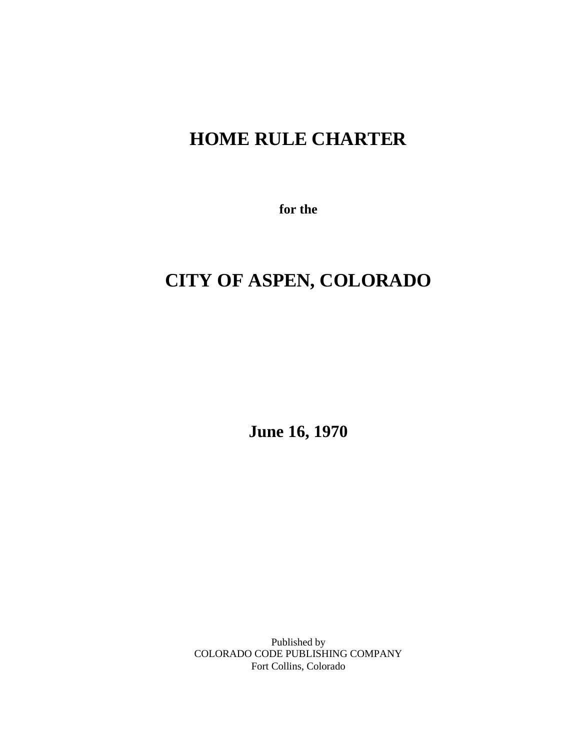## **HOME RULE CHARTER**

**for the**

# **CITY OF ASPEN, COLORADO**

**June 16, 1970**

Published by COLORADO CODE PUBLISHING COMPANY Fort Collins, Colorado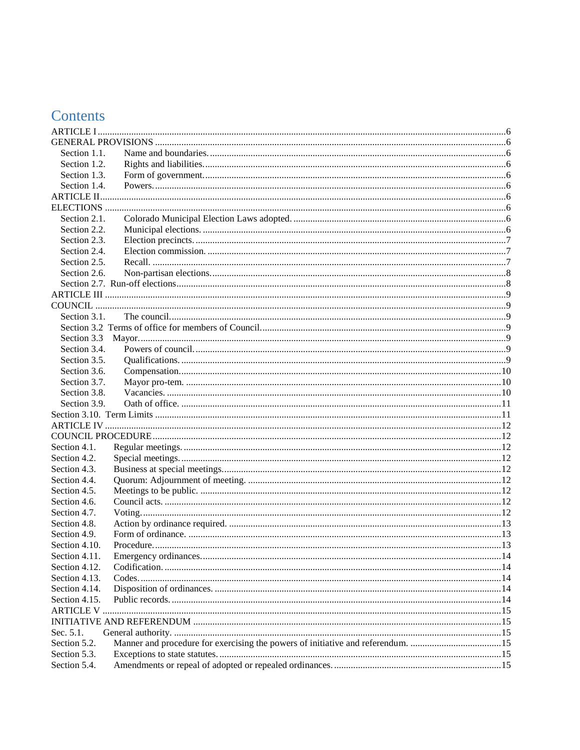## Contents

| Section 1.1.  |  |
|---------------|--|
| Section 1.2.  |  |
| Section 1.3.  |  |
| Section 1.4.  |  |
|               |  |
|               |  |
| Section 2.1.  |  |
| Section 2.2.  |  |
| Section 2.3.  |  |
| Section 2.4.  |  |
| Section 2.5.  |  |
| Section 2.6.  |  |
|               |  |
|               |  |
|               |  |
| Section 3.1.  |  |
|               |  |
| Section 3.3   |  |
| Section 3.4.  |  |
| Section 3.5.  |  |
| Section 3.6.  |  |
| Section 3.7.  |  |
| Section 3.8.  |  |
| Section 3.9.  |  |
|               |  |
|               |  |
|               |  |
| Section 4.1.  |  |
| Section 4.2.  |  |
| Section 4.3.  |  |
| Section 4.4.  |  |
| Section 4.5.  |  |
| Section 4.6.  |  |
| Section 4.7.  |  |
| Section 4.8.  |  |
| Section 4.9.  |  |
| Section 4.10. |  |
| Section 4.11. |  |
| Section 4.12. |  |
| Section 4.13. |  |
| Section 4.14. |  |
| Section 4.15. |  |
|               |  |
|               |  |
| Sec. 5.1.     |  |
| Section 5.2.  |  |
| Section 5.3.  |  |
| Section 5.4.  |  |
|               |  |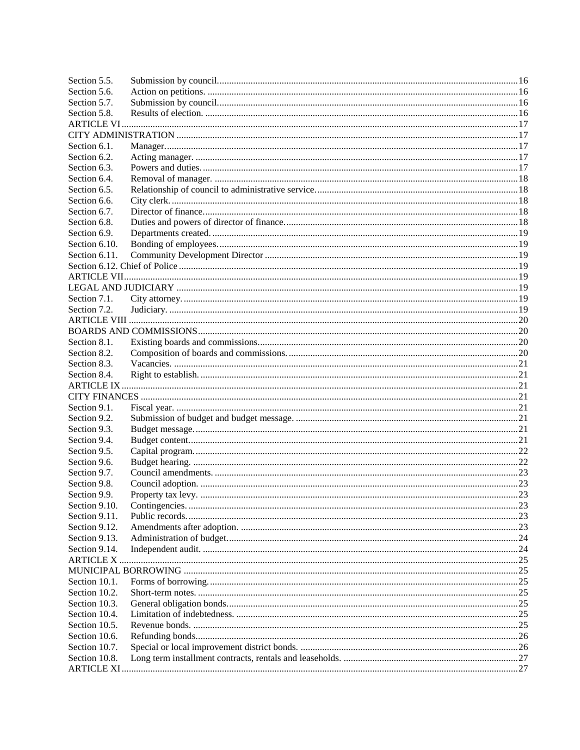| Section 5.5.     |  |
|------------------|--|
| Section 5.6.     |  |
| Section 5.7.     |  |
| Section 5.8.     |  |
|                  |  |
|                  |  |
| Section 6.1.     |  |
| Section 6.2.     |  |
| Section 6.3.     |  |
| Section 6.4.     |  |
| Section 6.5.     |  |
| Section 6.6.     |  |
| Section 6.7.     |  |
| Section 6.8.     |  |
| Section 6.9.     |  |
| Section 6.10.    |  |
| Section 6.11.    |  |
|                  |  |
|                  |  |
|                  |  |
| Section 7.1.     |  |
| Section 7.2.     |  |
|                  |  |
|                  |  |
| Section 8.1.     |  |
| Section 8.2.     |  |
| Section 8.3.     |  |
| Section 8.4.     |  |
|                  |  |
|                  |  |
| Section 9.1.     |  |
| Section 9.2.     |  |
| Section 9.3.     |  |
| Section 9.4.     |  |
| Section 9.5.     |  |
| Section 9.6.     |  |
| Section 9.7.     |  |
| Section 9.8.     |  |
| Section 9.9.     |  |
| Section 9.10.    |  |
| Section 9.11.    |  |
| Section 9.12.    |  |
| Section 9.13.    |  |
| Section 9.14.    |  |
| <b>ARTICLE X</b> |  |
|                  |  |
| Section 10.1.    |  |
| Section 10.2.    |  |
| Section 10.3.    |  |
| Section 10.4.    |  |
| Section 10.5.    |  |
| Section 10.6.    |  |
| Section 10.7.    |  |
| Section 10.8.    |  |
|                  |  |
|                  |  |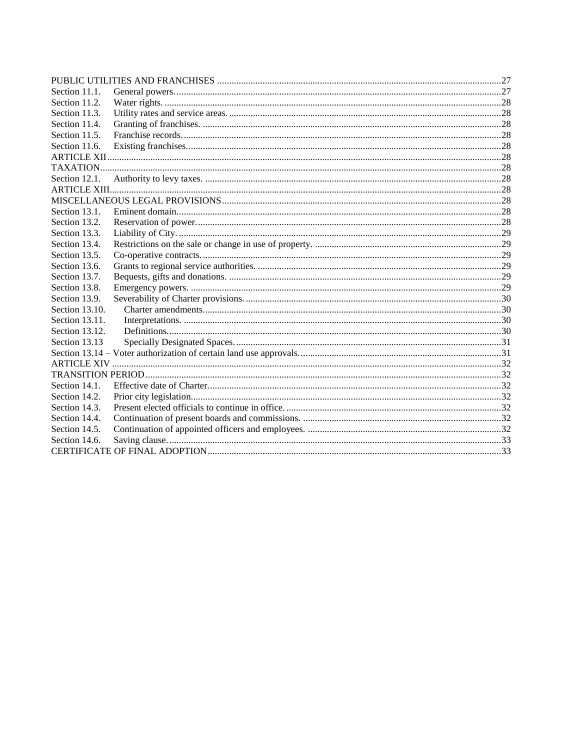| Section 11.1.  |  |
|----------------|--|
| Section 11.2.  |  |
| Section 11.3.  |  |
| Section 11.4.  |  |
| Section 11.5.  |  |
| Section 11.6.  |  |
|                |  |
|                |  |
| Section 12.1.  |  |
|                |  |
|                |  |
| Section 13.1.  |  |
| Section 13.2.  |  |
| Section 13.3.  |  |
| Section 13.4.  |  |
| Section 13.5.  |  |
| Section 13.6.  |  |
| Section 13.7.  |  |
| Section 13.8.  |  |
| Section 13.9.  |  |
| Section 13.10. |  |
| Section 13.11. |  |
| Section 13.12. |  |
| Section 13.13  |  |
|                |  |
|                |  |
|                |  |
| Section 14.1.  |  |
| Section 14.2.  |  |
| Section 14.3.  |  |
| Section 14.4.  |  |
| Section 14.5.  |  |
| Section 14.6.  |  |
|                |  |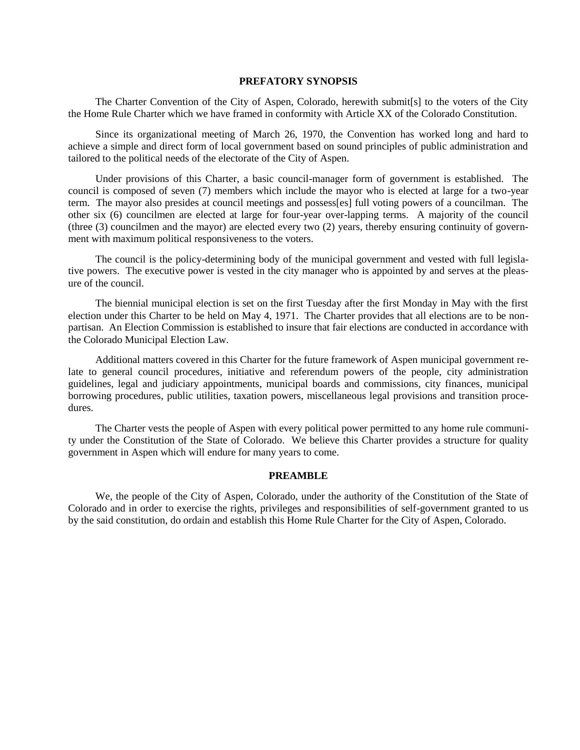#### **PREFATORY SYNOPSIS**

The Charter Convention of the City of Aspen, Colorado, herewith submit[s] to the voters of the City the Home Rule Charter which we have framed in conformity with Article XX of the Colorado Constitution.

Since its organizational meeting of March 26, 1970, the Convention has worked long and hard to achieve a simple and direct form of local government based on sound principles of public administration and tailored to the political needs of the electorate of the City of Aspen.

Under provisions of this Charter, a basic council-manager form of government is established. The council is composed of seven (7) members which include the mayor who is elected at large for a two-year term. The mayor also presides at council meetings and possess[es] full voting powers of a councilman. The other six (6) councilmen are elected at large for four-year over-lapping terms. A majority of the council (three (3) councilmen and the mayor) are elected every two (2) years, thereby ensuring continuity of government with maximum political responsiveness to the voters.

The council is the policy-determining body of the municipal government and vested with full legislative powers. The executive power is vested in the city manager who is appointed by and serves at the pleasure of the council.

The biennial municipal election is set on the first Tuesday after the first Monday in May with the first election under this Charter to be held on May 4, 1971. The Charter provides that all elections are to be nonpartisan. An Election Commission is established to insure that fair elections are conducted in accordance with the Colorado Municipal Election Law.

Additional matters covered in this Charter for the future framework of Aspen municipal government relate to general council procedures, initiative and referendum powers of the people, city administration guidelines, legal and judiciary appointments, municipal boards and commissions, city finances, municipal borrowing procedures, public utilities, taxation powers, miscellaneous legal provisions and transition procedures.

The Charter vests the people of Aspen with every political power permitted to any home rule community under the Constitution of the State of Colorado. We believe this Charter provides a structure for quality government in Aspen which will endure for many years to come.

## **PREAMBLE**

We, the people of the City of Aspen, Colorado, under the authority of the Constitution of the State of Colorado and in order to exercise the rights, privileges and responsibilities of self-government granted to us by the said constitution, do ordain and establish this Home Rule Charter for the City of Aspen, Colorado.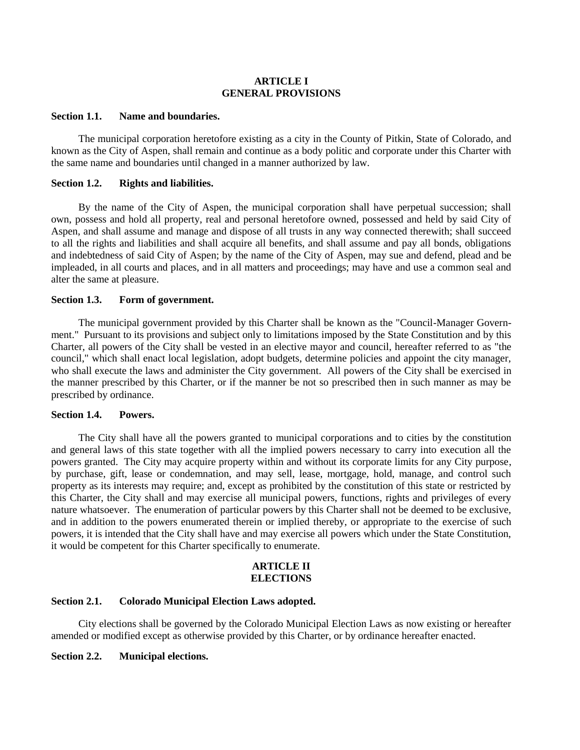## **ARTICLE I GENERAL PROVISIONS**

#### <span id="page-5-2"></span><span id="page-5-1"></span><span id="page-5-0"></span>**Section 1.1. Name and boundaries.**

The municipal corporation heretofore existing as a city in the County of Pitkin, State of Colorado, and known as the City of Aspen, shall remain and continue as a body politic and corporate under this Charter with the same name and boundaries until changed in a manner authorized by law.

## <span id="page-5-3"></span>**Section 1.2. Rights and liabilities.**

By the name of the City of Aspen, the municipal corporation shall have perpetual succession; shall own, possess and hold all property, real and personal heretofore owned, possessed and held by said City of Aspen, and shall assume and manage and dispose of all trusts in any way connected therewith; shall succeed to all the rights and liabilities and shall acquire all benefits, and shall assume and pay all bonds, obligations and indebtedness of said City of Aspen; by the name of the City of Aspen, may sue and defend, plead and be impleaded, in all courts and places, and in all matters and proceedings; may have and use a common seal and alter the same at pleasure.

## <span id="page-5-4"></span>**Section 1.3. Form of government.**

The municipal government provided by this Charter shall be known as the "Council-Manager Government." Pursuant to its provisions and subject only to limitations imposed by the State Constitution and by this Charter, all powers of the City shall be vested in an elective mayor and council, hereafter referred to as "the council," which shall enact local legislation, adopt budgets, determine policies and appoint the city manager, who shall execute the laws and administer the City government. All powers of the City shall be exercised in the manner prescribed by this Charter, or if the manner be not so prescribed then in such manner as may be prescribed by ordinance.

## <span id="page-5-5"></span>**Section 1.4. Powers.**

The City shall have all the powers granted to municipal corporations and to cities by the constitution and general laws of this state together with all the implied powers necessary to carry into execution all the powers granted. The City may acquire property within and without its corporate limits for any City purpose, by purchase, gift, lease or condemnation, and may sell, lease, mortgage, hold, manage, and control such property as its interests may require; and, except as prohibited by the constitution of this state or restricted by this Charter, the City shall and may exercise all municipal powers, functions, rights and privileges of every nature whatsoever. The enumeration of particular powers by this Charter shall not be deemed to be exclusive, and in addition to the powers enumerated therein or implied thereby, or appropriate to the exercise of such powers, it is intended that the City shall have and may exercise all powers which under the State Constitution, it would be competent for this Charter specifically to enumerate.

## **ARTICLE II ELECTIONS**

## <span id="page-5-8"></span><span id="page-5-7"></span><span id="page-5-6"></span>**Section 2.1. Colorado Municipal Election Laws adopted.**

City elections shall be governed by the Colorado Municipal Election Laws as now existing or hereafter amended or modified except as otherwise provided by this Charter, or by ordinance hereafter enacted.

## <span id="page-5-9"></span>**Section 2.2. Municipal elections.**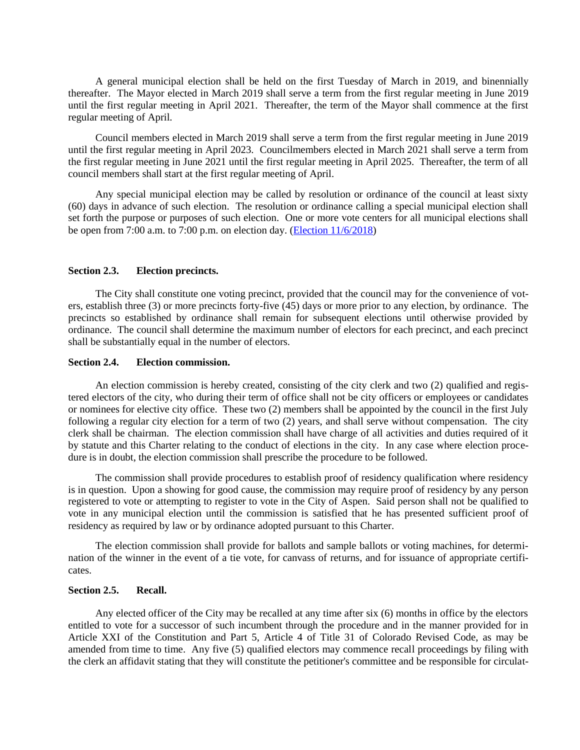A general municipal election shall be held on the first Tuesday of March in 2019, and binennially thereafter. The Mayor elected in March 2019 shall serve a term from the first regular meeting in June 2019 until the first regular meeting in April 2021. Thereafter, the term of the Mayor shall commence at the first regular meeting of April.

Council members elected in March 2019 shall serve a term from the first regular meeting in June 2019 until the first regular meeting in April 2023. Councilmembers elected in March 2021 shall serve a term from the first regular meeting in June 2021 until the first regular meeting in April 2025. Thereafter, the term of all council members shall start at the first regular meeting of April.

Any special municipal election may be called by resolution or ordinance of the council at least sixty (60) days in advance of such election. The resolution or ordinance calling a special municipal election shall set forth the purpose or purposes of such election. One or more vote centers for all municipal elections shall be open from 7:00 a.m. to 7:00 p.m. on election day. [\(Election 11/6/2018\)](https://records.cityofaspen.com/WebLink/0/doc/1437231/Page1.aspx)

## <span id="page-6-0"></span>**Section 2.3. Election precincts.**

The City shall constitute one voting precinct, provided that the council may for the convenience of voters, establish three (3) or more precincts forty-five (45) days or more prior to any election, by ordinance. The precincts so established by ordinance shall remain for subsequent elections until otherwise provided by ordinance. The council shall determine the maximum number of electors for each precinct, and each precinct shall be substantially equal in the number of electors.

#### <span id="page-6-1"></span>**Section 2.4. Election commission.**

An election commission is hereby created, consisting of the city clerk and two (2) qualified and registered electors of the city, who during their term of office shall not be city officers or employees or candidates or nominees for elective city office. These two (2) members shall be appointed by the council in the first July following a regular city election for a term of two (2) years, and shall serve without compensation. The city clerk shall be chairman. The election commission shall have charge of all activities and duties required of it by statute and this Charter relating to the conduct of elections in the city. In any case where election procedure is in doubt, the election commission shall prescribe the procedure to be followed.

The commission shall provide procedures to establish proof of residency qualification where residency is in question. Upon a showing for good cause, the commission may require proof of residency by any person registered to vote or attempting to register to vote in the City of Aspen. Said person shall not be qualified to vote in any municipal election until the commission is satisfied that he has presented sufficient proof of residency as required by law or by ordinance adopted pursuant to this Charter.

The election commission shall provide for ballots and sample ballots or voting machines, for determination of the winner in the event of a tie vote, for canvass of returns, and for issuance of appropriate certificates.

## <span id="page-6-2"></span>**Section 2.5. Recall.**

Any elected officer of the City may be recalled at any time after six (6) months in office by the electors entitled to vote for a successor of such incumbent through the procedure and in the manner provided for in Article XXI of the Constitution and Part 5, Article 4 of Title 31 of Colorado Revised Code, as may be amended from time to time. Any five (5) qualified electors may commence recall proceedings by filing with the clerk an affidavit stating that they will constitute the petitioner's committee and be responsible for circulat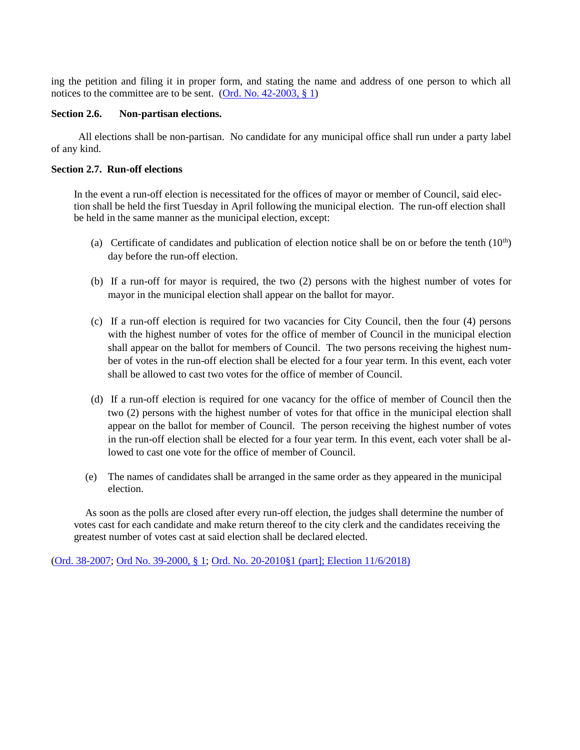ing the petition and filing it in proper form, and stating the name and address of one person to which all notices to the committee are to be sent. (Ord. No.  $42-2003$ ,  $\S$  1)

## <span id="page-7-0"></span>**Section 2.6. Non-partisan elections.**

All elections shall be non-partisan. No candidate for any municipal office shall run under a party label of any kind.

## <span id="page-7-1"></span>**Section 2.7. Run-off elections**

In the event a run-off election is necessitated for the offices of mayor or member of Council, said election shall be held the first Tuesday in April following the municipal election. The run-off election shall be held in the same manner as the municipal election, except:

- (a) Certificate of candidates and publication of election notice shall be on or before the tenth  $(10<sup>th</sup>)$ day before the run-off election.
- (b) If a run-off for mayor is required, the two (2) persons with the highest number of votes for mayor in the municipal election shall appear on the ballot for mayor.
- (c) If a run-off election is required for two vacancies for City Council, then the four (4) persons with the highest number of votes for the office of member of Council in the municipal election shall appear on the ballot for members of Council. The two persons receiving the highest number of votes in the run-off election shall be elected for a four year term. In this event, each voter shall be allowed to cast two votes for the office of member of Council.
- (d) If a run-off election is required for one vacancy for the office of member of Council then the two (2) persons with the highest number of votes for that office in the municipal election shall appear on the ballot for member of Council. The person receiving the highest number of votes in the run-off election shall be elected for a four year term. In this event, each voter shall be allowed to cast one vote for the office of member of Council.
- (e) The names of candidates shall be arranged in the same order as they appeared in the municipal election.

As soon as the polls are closed after every run-off election, the judges shall determine the number of votes cast for each candidate and make return thereof to the city clerk and the candidates receiving the greatest number of votes cast at said election shall be declared elected.

[\(Ord. 38-2007;](https://records.cityofaspen.com/WebLink/0/doc/96780/Page1.aspx) [Ord No. 39-2000, § 1;](https://records.cityofaspen.com/WebLink/0/doc/8633/Page1.aspx) Ord. No. 20-2010§1 [\(part\]; Election 11/6/2018\)](https://records.cityofaspen.com/WebLink/0/doc/1437231/Page1.aspx)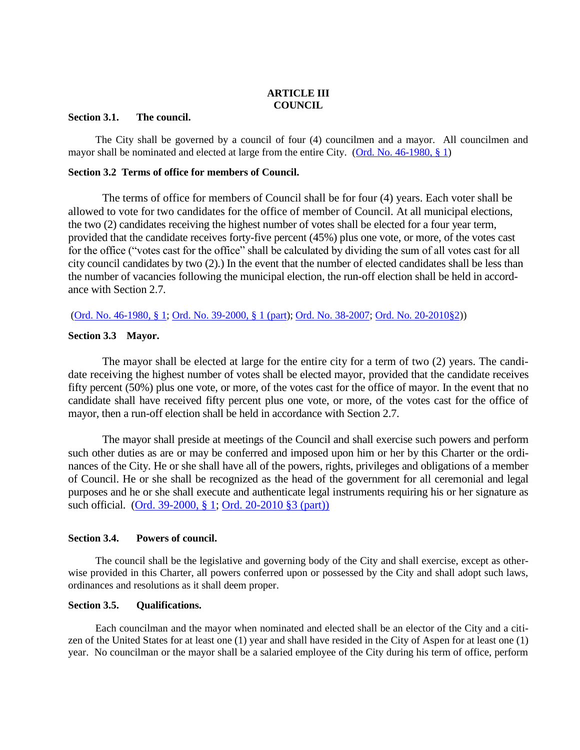## **ARTICLE III COUNCIL**

## <span id="page-8-2"></span><span id="page-8-1"></span><span id="page-8-0"></span>**Section 3.1. The council.**

The City shall be governed by a council of four (4) councilmen and a mayor. All councilmen and mayor shall be nominated and elected at large from the entire City. [\(Ord. No. 46-1980, § 1\)](https://records.cityofaspen.com/WebLink/0/doc/65528/Page1.aspx)

## <span id="page-8-3"></span>**Section 3.2 Terms of office for members of Council.**

The terms of office for members of Council shall be for four (4) years. Each voter shall be allowed to vote for two candidates for the office of member of Council. At all municipal elections, the two (2) candidates receiving the highest number of votes shall be elected for a four year term, provided that the candidate receives forty-five percent (45%) plus one vote, or more, of the votes cast for the office ("votes cast for the office" shall be calculated by dividing the sum of all votes cast for all city council candidates by two (2).) In the event that the number of elected candidates shall be less than the number of vacancies following the municipal election, the run-off election shall be held in accordance with Section 2.7.

[\(Ord. No. 46-1980, § 1;](https://records.cityofaspen.com/WebLink/0/doc/65528/Page1.aspx) [Ord. No. 39-2000, § 1 \(part\)](https://records.cityofaspen.com/WebLink/0/doc/8633/Page1.aspx); [Ord. No. 38-2007;](https://records.cityofaspen.com/WebLink/0/doc/96780/Page1.aspx) [Ord. No. 20-2010§2\)](https://records.cityofaspen.com/WebLink/0/doc/142815/Page1.aspx))

## <span id="page-8-4"></span>**Section 3.3 Mayor.**

The mayor shall be elected at large for the entire city for a term of two (2) years. The candidate receiving the highest number of votes shall be elected mayor, provided that the candidate receives fifty percent (50%) plus one vote, or more, of the votes cast for the office of mayor. In the event that no candidate shall have received fifty percent plus one vote, or more, of the votes cast for the office of mayor, then a run-off election shall be held in accordance with Section 2.7.

The mayor shall preside at meetings of the Council and shall exercise such powers and perform such other duties as are or may be conferred and imposed upon him or her by this Charter or the ordinances of the City. He or she shall have all of the powers, rights, privileges and obligations of a member of Council. He or she shall be recognized as the head of the government for all ceremonial and legal purposes and he or she shall execute and authenticate legal instruments requiring his or her signature as such official. [\(Ord. 39-2000, § 1;](https://records.cityofaspen.com/WebLink/0/doc/8633/Page1.aspx) [Ord. 20-2010](https://records.cityofaspen.com/WebLink/0/doc/142815/Page1.aspx) §3 (part))

## <span id="page-8-5"></span>**Section 3.4. Powers of council.**

The council shall be the legislative and governing body of the City and shall exercise, except as otherwise provided in this Charter, all powers conferred upon or possessed by the City and shall adopt such laws, ordinances and resolutions as it shall deem proper.

## <span id="page-8-6"></span>**Section 3.5. Qualifications.**

Each councilman and the mayor when nominated and elected shall be an elector of the City and a citizen of the United States for at least one (1) year and shall have resided in the City of Aspen for at least one (1) year. No councilman or the mayor shall be a salaried employee of the City during his term of office, perform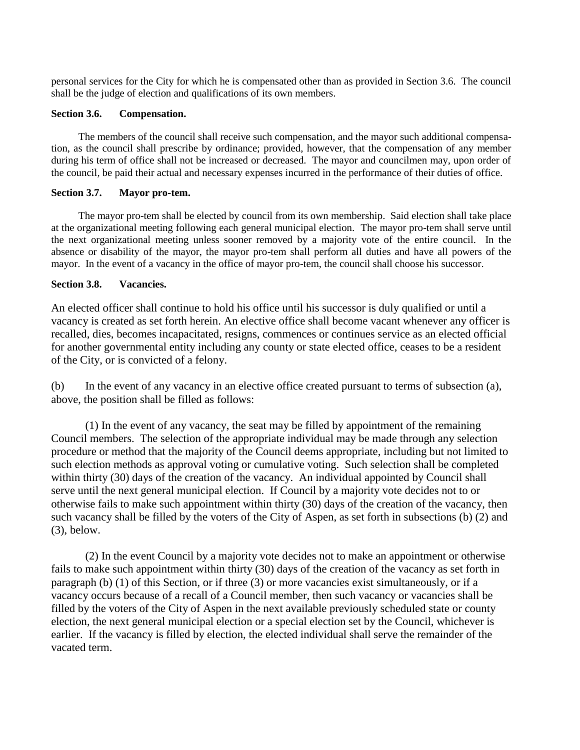personal services for the City for which he is compensated other than as provided in Section 3.6. The council shall be the judge of election and qualifications of its own members.

## <span id="page-9-0"></span>**Section 3.6. Compensation.**

The members of the council shall receive such compensation, and the mayor such additional compensation, as the council shall prescribe by ordinance; provided, however, that the compensation of any member during his term of office shall not be increased or decreased. The mayor and councilmen may, upon order of the council, be paid their actual and necessary expenses incurred in the performance of their duties of office.

## <span id="page-9-1"></span>**Section 3.7. Mayor pro-tem.**

The mayor pro-tem shall be elected by council from its own membership. Said election shall take place at the organizational meeting following each general municipal election. The mayor pro-tem shall serve until the next organizational meeting unless sooner removed by a majority vote of the entire council. In the absence or disability of the mayor, the mayor pro-tem shall perform all duties and have all powers of the mayor. In the event of a vacancy in the office of mayor pro-tem, the council shall choose his successor.

## <span id="page-9-2"></span>**Section 3.8. Vacancies.**

An elected officer shall continue to hold his office until his successor is duly qualified or until a vacancy is created as set forth herein. An elective office shall become vacant whenever any officer is recalled, dies, becomes incapacitated, resigns, commences or continues service as an elected official for another governmental entity including any county or state elected office, ceases to be a resident of the City, or is convicted of a felony.

(b) In the event of any vacancy in an elective office created pursuant to terms of subsection (a), above, the position shall be filled as follows:

(1) In the event of any vacancy, the seat may be filled by appointment of the remaining Council members. The selection of the appropriate individual may be made through any selection procedure or method that the majority of the Council deems appropriate, including but not limited to such election methods as approval voting or cumulative voting. Such selection shall be completed within thirty (30) days of the creation of the vacancy. An individual appointed by Council shall serve until the next general municipal election. If Council by a majority vote decides not to or otherwise fails to make such appointment within thirty (30) days of the creation of the vacancy, then such vacancy shall be filled by the voters of the City of Aspen, as set forth in subsections (b) (2) and (3), below.

(2) In the event Council by a majority vote decides not to make an appointment or otherwise fails to make such appointment within thirty (30) days of the creation of the vacancy as set forth in paragraph (b) (1) of this Section, or if three (3) or more vacancies exist simultaneously, or if a vacancy occurs because of a recall of a Council member, then such vacancy or vacancies shall be filled by the voters of the City of Aspen in the next available previously scheduled state or county election, the next general municipal election or a special election set by the Council, whichever is earlier. If the vacancy is filled by election, the elected individual shall serve the remainder of the vacated term.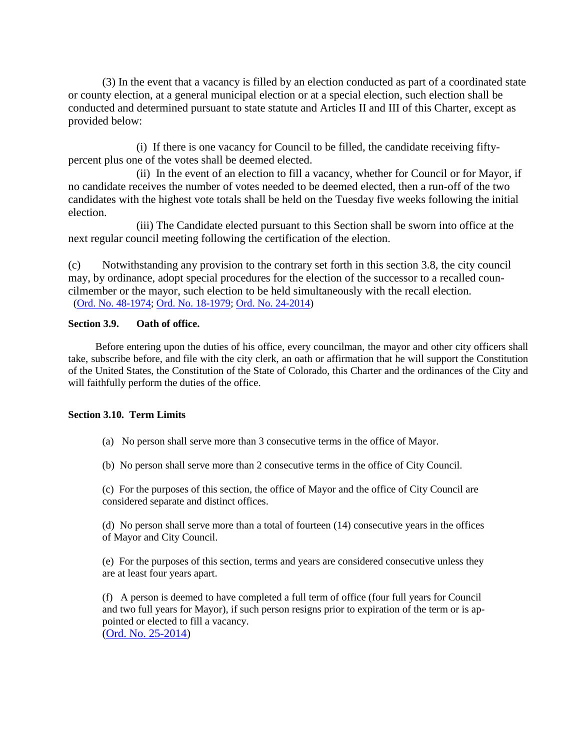(3) In the event that a vacancy is filled by an election conducted as part of a coordinated state or county election, at a general municipal election or at a special election, such election shall be conducted and determined pursuant to state statute and Articles II and III of this Charter, except as provided below:

(i) If there is one vacancy for Council to be filled, the candidate receiving fiftypercent plus one of the votes shall be deemed elected.

(ii) In the event of an election to fill a vacancy, whether for Council or for Mayor, if no candidate receives the number of votes needed to be deemed elected, then a run-off of the two candidates with the highest vote totals shall be held on the Tuesday five weeks following the initial election.

(iii) The Candidate elected pursuant to this Section shall be sworn into office at the next regular council meeting following the certification of the election.

(c) Notwithstanding any provision to the contrary set forth in this section 3.8, the city council may, by ordinance, adopt special procedures for the election of the successor to a recalled councilmember or the mayor, such election to be held simultaneously with the recall election. [\(Ord. No. 48-1974;](https://records.cityofaspen.com/WebLink/0/doc/66030/Page1.aspx) [Ord. No. 18-1979;](https://records.cityofaspen.com/WebLink/0/doc/65291/Page1.aspx) [Ord. No. 24-2014\)](http://records/WebLink8/DocView.aspx?id=205985&dbid=0)

## <span id="page-10-0"></span>**Section 3.9. Oath of office.**

Before entering upon the duties of his office, every councilman, the mayor and other city officers shall take, subscribe before, and file with the city clerk, an oath or affirmation that he will support the Constitution of the United States, the Constitution of the State of Colorado, this Charter and the ordinances of the City and will faithfully perform the duties of the office.

## <span id="page-10-1"></span>**Section 3.10. Term Limits**

(a) No person shall serve more than 3 consecutive terms in the office of Mayor.

(b) No person shall serve more than 2 consecutive terms in the office of City Council.

(c) For the purposes of this section, the office of Mayor and the office of City Council are considered separate and distinct offices.

(d) No person shall serve more than a total of fourteen (14) consecutive years in the offices of Mayor and City Council.

(e) For the purposes of this section, terms and years are considered consecutive unless they are at least four years apart.

(f) A person is deemed to have completed a full term of office (four full years for Council and two full years for Mayor), if such person resigns prior to expiration of the term or is appointed or elected to fill a vacancy.

[\(Ord. No. 25-2014\)](http://records/WebLink8/0/doc/205984/Page1.aspx)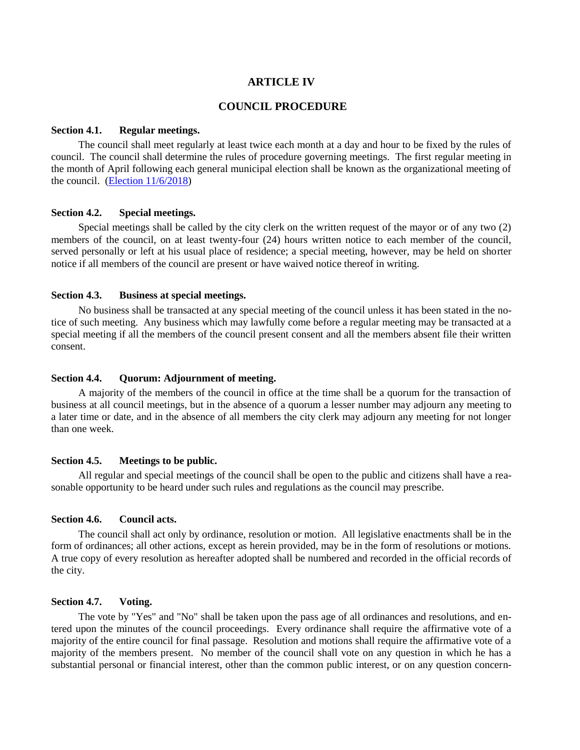## **ARTICLE IV**

## <span id="page-11-1"></span>**COUNCIL PROCEDURE**

## <span id="page-11-2"></span><span id="page-11-0"></span>**Section 4.1. Regular meetings.**

The council shall meet regularly at least twice each month at a day and hour to be fixed by the rules of council. The council shall determine the rules of procedure governing meetings. The first regular meeting in the month of April following each general municipal election shall be known as the organizational meeting of the council. [\(Election 11/6/2018\)](https://records.cityofaspen.com/WebLink/0/doc/1437231/Page1.aspx)

## <span id="page-11-3"></span>**Section 4.2. Special meetings.**

Special meetings shall be called by the city clerk on the written request of the mayor or of any two (2) members of the council, on at least twenty-four (24) hours written notice to each member of the council, served personally or left at his usual place of residence; a special meeting, however, may be held on shorter notice if all members of the council are present or have waived notice thereof in writing.

#### <span id="page-11-4"></span>**Section 4.3. Business at special meetings.**

No business shall be transacted at any special meeting of the council unless it has been stated in the notice of such meeting. Any business which may lawfully come before a regular meeting may be transacted at a special meeting if all the members of the council present consent and all the members absent file their written consent.

#### <span id="page-11-5"></span>**Section 4.4. Quorum: Adjournment of meeting.**

A majority of the members of the council in office at the time shall be a quorum for the transaction of business at all council meetings, but in the absence of a quorum a lesser number may adjourn any meeting to a later time or date, and in the absence of all members the city clerk may adjourn any meeting for not longer than one week.

#### <span id="page-11-6"></span>**Section 4.5. Meetings to be public.**

All regular and special meetings of the council shall be open to the public and citizens shall have a reasonable opportunity to be heard under such rules and regulations as the council may prescribe.

## <span id="page-11-7"></span>**Section 4.6. Council acts.**

The council shall act only by ordinance, resolution or motion. All legislative enactments shall be in the form of ordinances; all other actions, except as herein provided, may be in the form of resolutions or motions. A true copy of every resolution as hereafter adopted shall be numbered and recorded in the official records of the city.

## <span id="page-11-8"></span>**Section 4.7. Voting.**

The vote by "Yes" and "No" shall be taken upon the pass age of all ordinances and resolutions, and entered upon the minutes of the council proceedings. Every ordinance shall require the affirmative vote of a majority of the entire council for final passage. Resolution and motions shall require the affirmative vote of a majority of the members present. No member of the council shall vote on any question in which he has a substantial personal or financial interest, other than the common public interest, or on any question concern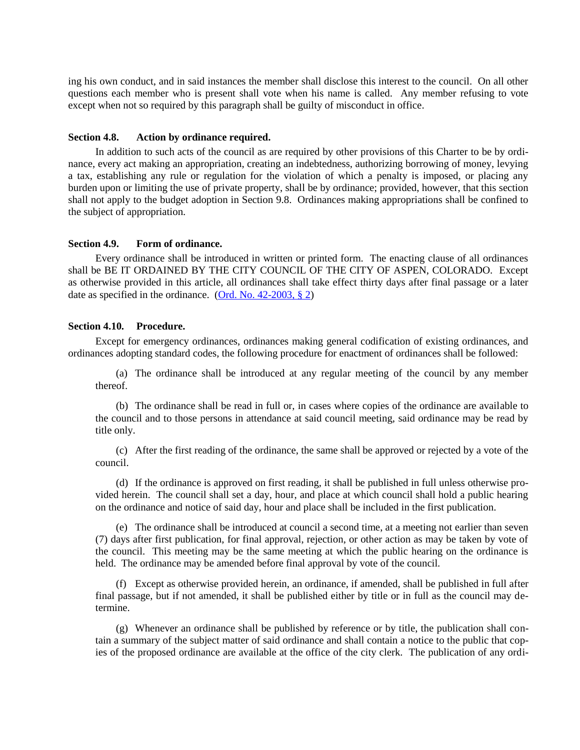ing his own conduct, and in said instances the member shall disclose this interest to the council. On all other questions each member who is present shall vote when his name is called. Any member refusing to vote except when not so required by this paragraph shall be guilty of misconduct in office.

#### <span id="page-12-0"></span>**Section 4.8. Action by ordinance required.**

In addition to such acts of the council as are required by other provisions of this Charter to be by ordinance, every act making an appropriation, creating an indebtedness, authorizing borrowing of money, levying a tax, establishing any rule or regulation for the violation of which a penalty is imposed, or placing any burden upon or limiting the use of private property, shall be by ordinance; provided, however, that this section shall not apply to the budget adoption in Section 9.8. Ordinances making appropriations shall be confined to the subject of appropriation.

#### <span id="page-12-1"></span>**Section 4.9. Form of ordinance.**

Every ordinance shall be introduced in written or printed form. The enacting clause of all ordinances shall be BE IT ORDAINED BY THE CITY COUNCIL OF THE CITY OF ASPEN, COLORADO. Except as otherwise provided in this article, all ordinances shall take effect thirty days after final passage or a later date as specified in the ordinance. [\(Ord. No. 42-2003, § 2\)](https://records.cityofaspen.com/WebLink/0/doc/35796/Page1.aspx)

#### <span id="page-12-2"></span>**Section 4.10. Procedure.**

Except for emergency ordinances, ordinances making general codification of existing ordinances, and ordinances adopting standard codes, the following procedure for enactment of ordinances shall be followed:

(a) The ordinance shall be introduced at any regular meeting of the council by any member thereof.

(b) The ordinance shall be read in full or, in cases where copies of the ordinance are available to the council and to those persons in attendance at said council meeting, said ordinance may be read by title only.

(c) After the first reading of the ordinance, the same shall be approved or rejected by a vote of the council.

(d) If the ordinance is approved on first reading, it shall be published in full unless otherwise provided herein. The council shall set a day, hour, and place at which council shall hold a public hearing on the ordinance and notice of said day, hour and place shall be included in the first publication.

(e) The ordinance shall be introduced at council a second time, at a meeting not earlier than seven (7) days after first publication, for final approval, rejection, or other action as may be taken by vote of the council. This meeting may be the same meeting at which the public hearing on the ordinance is held. The ordinance may be amended before final approval by vote of the council.

(f) Except as otherwise provided herein, an ordinance, if amended, shall be published in full after final passage, but if not amended, it shall be published either by title or in full as the council may determine.

(g) Whenever an ordinance shall be published by reference or by title, the publication shall contain a summary of the subject matter of said ordinance and shall contain a notice to the public that copies of the proposed ordinance are available at the office of the city clerk. The publication of any ordi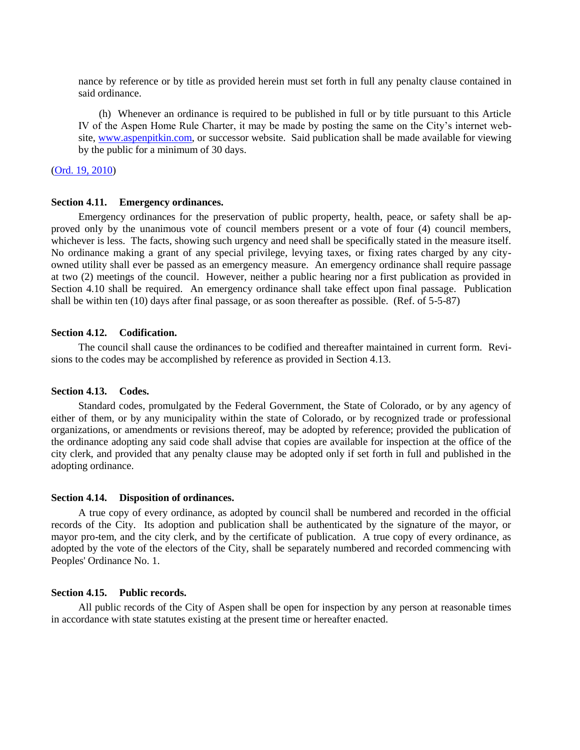nance by reference or by title as provided herein must set forth in full any penalty clause contained in said ordinance.

(h) Whenever an ordinance is required to be published in full or by title pursuant to this Article IV of the Aspen Home Rule Charter, it may be made by posting the same on the City's internet website, [www.aspenpitkin.com,](http://www.aspenpitkin.com/) or successor website. Said publication shall be made available for viewing by the public for a minimum of 30 days.

#### [\(Ord. 19, 2010\)](https://records.cityofaspen.com/WebLink/0/doc/141872/Page1.aspx)

#### <span id="page-13-0"></span>**Section 4.11. Emergency ordinances.**

Emergency ordinances for the preservation of public property, health, peace, or safety shall be approved only by the unanimous vote of council members present or a vote of four (4) council members, whichever is less. The facts, showing such urgency and need shall be specifically stated in the measure itself. No ordinance making a grant of any special privilege, levying taxes, or fixing rates charged by any cityowned utility shall ever be passed as an emergency measure. An emergency ordinance shall require passage at two (2) meetings of the council. However, neither a public hearing nor a first publication as provided in Section 4.10 shall be required. An emergency ordinance shall take effect upon final passage. Publication shall be within ten (10) days after final passage, or as soon thereafter as possible. (Ref. of 5-5-87)

#### <span id="page-13-1"></span>**Section 4.12. Codification.**

The council shall cause the ordinances to be codified and thereafter maintained in current form. Revisions to the codes may be accomplished by reference as provided in Section 4.13.

## <span id="page-13-2"></span>**Section 4.13. Codes.**

Standard codes, promulgated by the Federal Government, the State of Colorado, or by any agency of either of them, or by any municipality within the state of Colorado, or by recognized trade or professional organizations, or amendments or revisions thereof, may be adopted by reference; provided the publication of the ordinance adopting any said code shall advise that copies are available for inspection at the office of the city clerk, and provided that any penalty clause may be adopted only if set forth in full and published in the adopting ordinance.

#### <span id="page-13-3"></span>**Section 4.14. Disposition of ordinances.**

A true copy of every ordinance, as adopted by council shall be numbered and recorded in the official records of the City. Its adoption and publication shall be authenticated by the signature of the mayor, or mayor pro-tem, and the city clerk, and by the certificate of publication. A true copy of every ordinance, as adopted by the vote of the electors of the City, shall be separately numbered and recorded commencing with Peoples' Ordinance No. 1.

#### <span id="page-13-4"></span>**Section 4.15. Public records.**

All public records of the City of Aspen shall be open for inspection by any person at reasonable times in accordance with state statutes existing at the present time or hereafter enacted.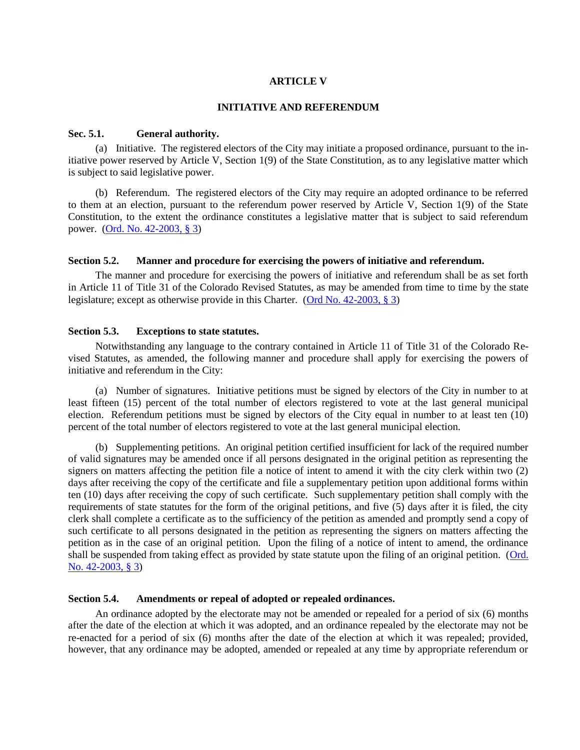## **ARTICLE V**

#### **INITIATIVE AND REFERENDUM**

#### <span id="page-14-2"></span><span id="page-14-1"></span><span id="page-14-0"></span>**Sec. 5.1. General authority.**

(a) Initiative. The registered electors of the City may initiate a proposed ordinance, pursuant to the initiative power reserved by Article V, Section 1(9) of the State Constitution, as to any legislative matter which is subject to said legislative power.

(b) Referendum. The registered electors of the City may require an adopted ordinance to be referred to them at an election, pursuant to the referendum power reserved by Article V, Section 1(9) of the State Constitution, to the extent the ordinance constitutes a legislative matter that is subject to said referendum power. [\(Ord. No. 42-2003, § 3\)](https://records.cityofaspen.com/WebLink/0/doc/35796/Page1.aspx)

## <span id="page-14-3"></span>**Section 5.2. Manner and procedure for exercising the powers of initiative and referendum.**

The manner and procedure for exercising the powers of initiative and referendum shall be as set forth in Article 11 of Title 31 of the Colorado Revised Statutes, as may be amended from time to time by the state legislature; except as otherwise provide in this Charter. [\(Ord No. 42-2003, § 3\)](https://records.cityofaspen.com/WebLink/0/doc/35796/Page1.aspx)

#### <span id="page-14-4"></span>**Section 5.3. Exceptions to state statutes.**

Notwithstanding any language to the contrary contained in Article 11 of Title 31 of the Colorado Revised Statutes, as amended, the following manner and procedure shall apply for exercising the powers of initiative and referendum in the City:

(a) Number of signatures. Initiative petitions must be signed by electors of the City in number to at least fifteen (15) percent of the total number of electors registered to vote at the last general municipal election. Referendum petitions must be signed by electors of the City equal in number to at least ten (10) percent of the total number of electors registered to vote at the last general municipal election.

(b) Supplementing petitions. An original petition certified insufficient for lack of the required number of valid signatures may be amended once if all persons designated in the original petition as representing the signers on matters affecting the petition file a notice of intent to amend it with the city clerk within two (2) days after receiving the copy of the certificate and file a supplementary petition upon additional forms within ten (10) days after receiving the copy of such certificate. Such supplementary petition shall comply with the requirements of state statutes for the form of the original petitions, and five (5) days after it is filed, the city clerk shall complete a certificate as to the sufficiency of the petition as amended and promptly send a copy of such certificate to all persons designated in the petition as representing the signers on matters affecting the petition as in the case of an original petition. Upon the filing of a notice of intent to amend, the ordinance shall be suspended from taking effect as provided by state statute upon the filing of an original petition. [\(Ord.](https://records.cityofaspen.com/WebLink/0/doc/35796/Page1.aspx)  [No. 42-2003, § 3\)](https://records.cityofaspen.com/WebLink/0/doc/35796/Page1.aspx)

## <span id="page-14-5"></span>**Section 5.4. Amendments or repeal of adopted or repealed ordinances.**

An ordinance adopted by the electorate may not be amended or repealed for a period of six (6) months after the date of the election at which it was adopted, and an ordinance repealed by the electorate may not be re-enacted for a period of six (6) months after the date of the election at which it was repealed; provided, however, that any ordinance may be adopted, amended or repealed at any time by appropriate referendum or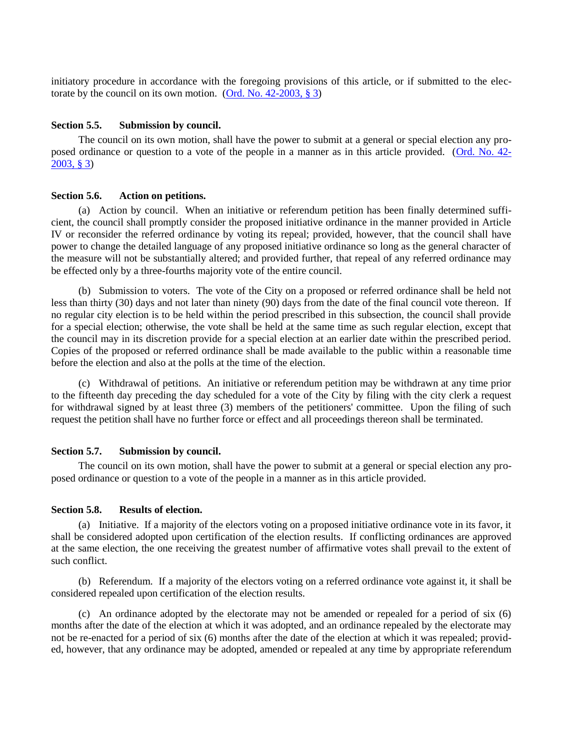initiatory procedure in accordance with the foregoing provisions of this article, or if submitted to the electorate by the council on its own motion. [\(Ord. No. 42-2003, § 3\)](https://records.cityofaspen.com/WebLink/0/doc/35796/Page1.aspx)

## <span id="page-15-0"></span>**Section 5.5. Submission by council.**

The council on its own motion, shall have the power to submit at a general or special election any proposed ordinance or question to a vote of the people in a manner as in this article provided. [\(Ord. No. 42-](https://records.cityofaspen.com/WebLink/0/doc/35796/Page1.aspx) [2003, § 3\)](https://records.cityofaspen.com/WebLink/0/doc/35796/Page1.aspx)

#### <span id="page-15-1"></span>**Section 5.6. Action on petitions.**

(a) Action by council. When an initiative or referendum petition has been finally determined sufficient, the council shall promptly consider the proposed initiative ordinance in the manner provided in Article IV or reconsider the referred ordinance by voting its repeal; provided, however, that the council shall have power to change the detailed language of any proposed initiative ordinance so long as the general character of the measure will not be substantially altered; and provided further, that repeal of any referred ordinance may be effected only by a three-fourths majority vote of the entire council.

(b) Submission to voters. The vote of the City on a proposed or referred ordinance shall be held not less than thirty (30) days and not later than ninety (90) days from the date of the final council vote thereon. If no regular city election is to be held within the period prescribed in this subsection, the council shall provide for a special election; otherwise, the vote shall be held at the same time as such regular election, except that the council may in its discretion provide for a special election at an earlier date within the prescribed period. Copies of the proposed or referred ordinance shall be made available to the public within a reasonable time before the election and also at the polls at the time of the election.

(c) Withdrawal of petitions. An initiative or referendum petition may be withdrawn at any time prior to the fifteenth day preceding the day scheduled for a vote of the City by filing with the city clerk a request for withdrawal signed by at least three (3) members of the petitioners' committee. Upon the filing of such request the petition shall have no further force or effect and all proceedings thereon shall be terminated.

#### <span id="page-15-2"></span>**Section 5.7. Submission by council.**

The council on its own motion, shall have the power to submit at a general or special election any proposed ordinance or question to a vote of the people in a manner as in this article provided.

## <span id="page-15-3"></span>**Section 5.8. Results of election.**

(a) Initiative. If a majority of the electors voting on a proposed initiative ordinance vote in its favor, it shall be considered adopted upon certification of the election results. If conflicting ordinances are approved at the same election, the one receiving the greatest number of affirmative votes shall prevail to the extent of such conflict.

(b) Referendum. If a majority of the electors voting on a referred ordinance vote against it, it shall be considered repealed upon certification of the election results.

(c) An ordinance adopted by the electorate may not be amended or repealed for a period of six (6) months after the date of the election at which it was adopted, and an ordinance repealed by the electorate may not be re-enacted for a period of six (6) months after the date of the election at which it was repealed; provided, however, that any ordinance may be adopted, amended or repealed at any time by appropriate referendum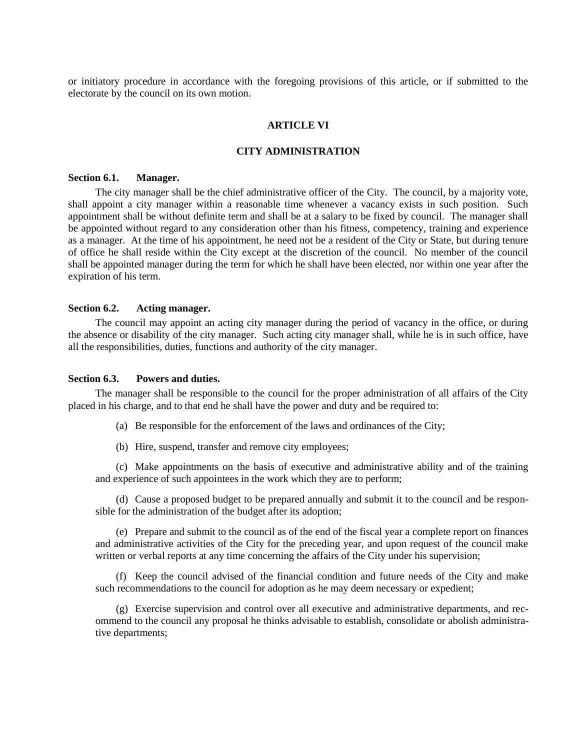<span id="page-16-0"></span>or initiatory procedure in accordance with the foregoing provisions of this article, or if submitted to the electorate by the council on its own motion.

## **ARTICLE VI**

## **CITY ADMINISTRATION**

#### <span id="page-16-2"></span><span id="page-16-1"></span>**Section 6.1. Manager.**

The city manager shall be the chief administrative officer of the City. The council, by a majority vote, shall appoint a city manager within a reasonable time whenever a vacancy exists in such position. Such appointment shall be without definite term and shall be at a salary to be fixed by council. The manager shall be appointed without regard to any consideration other than his fitness, competency, training and experience as a manager. At the time of his appointment, he need not be a resident of the City or State, but during tenure of office he shall reside within the City except at the discretion of the council. No member of the council shall be appointed manager during the term for which he shall have been elected, nor within one year after the expiration of his term.

## <span id="page-16-3"></span>**Section 6.2. Acting manager.**

The council may appoint an acting city manager during the period of vacancy in the office, or during the absence or disability of the city manager. Such acting city manager shall, while he is in such office, have all the responsibilities, duties, functions and authority of the city manager.

#### <span id="page-16-4"></span>**Section 6.3. Powers and duties.**

The manager shall be responsible to the council for the proper administration of all affairs of the City placed in his charge, and to that end he shall have the power and duty and be required to:

(a) Be responsible for the enforcement of the laws and ordinances of the City;

(b) Hire, suspend, transfer and remove city employees;

(c) Make appointments on the basis of executive and administrative ability and of the training and experience of such appointees in the work which they are to perform;

(d) Cause a proposed budget to be prepared annually and submit it to the council and be responsible for the administration of the budget after its adoption;

(e) Prepare and submit to the council as of the end of the fiscal year a complete report on finances and administrative activities of the City for the preceding year, and upon request of the council make written or verbal reports at any time concerning the affairs of the City under his supervision;

(f) Keep the council advised of the financial condition and future needs of the City and make such recommendations to the council for adoption as he may deem necessary or expedient;

(g) Exercise supervision and control over all executive and administrative departments, and recommend to the council any proposal he thinks advisable to establish, consolidate or abolish administrative departments;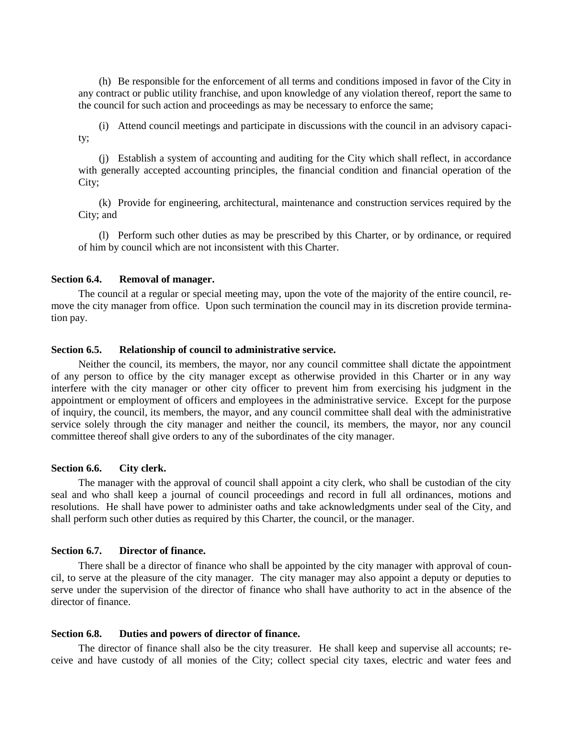(h) Be responsible for the enforcement of all terms and conditions imposed in favor of the City in any contract or public utility franchise, and upon knowledge of any violation thereof, report the same to the council for such action and proceedings as may be necessary to enforce the same;

(i) Attend council meetings and participate in discussions with the council in an advisory capacity;

(j) Establish a system of accounting and auditing for the City which shall reflect, in accordance with generally accepted accounting principles, the financial condition and financial operation of the City;

(k) Provide for engineering, architectural, maintenance and construction services required by the City; and

(l) Perform such other duties as may be prescribed by this Charter, or by ordinance, or required of him by council which are not inconsistent with this Charter.

#### <span id="page-17-0"></span>**Section 6.4. Removal of manager.**

The council at a regular or special meeting may, upon the vote of the majority of the entire council, remove the city manager from office. Upon such termination the council may in its discretion provide termination pay.

#### <span id="page-17-1"></span>**Section 6.5. Relationship of council to administrative service.**

Neither the council, its members, the mayor, nor any council committee shall dictate the appointment of any person to office by the city manager except as otherwise provided in this Charter or in any way interfere with the city manager or other city officer to prevent him from exercising his judgment in the appointment or employment of officers and employees in the administrative service. Except for the purpose of inquiry, the council, its members, the mayor, and any council committee shall deal with the administrative service solely through the city manager and neither the council, its members, the mayor, nor any council committee thereof shall give orders to any of the subordinates of the city manager.

## <span id="page-17-2"></span>**Section 6.6. City clerk.**

The manager with the approval of council shall appoint a city clerk, who shall be custodian of the city seal and who shall keep a journal of council proceedings and record in full all ordinances, motions and resolutions. He shall have power to administer oaths and take acknowledgments under seal of the City, and shall perform such other duties as required by this Charter, the council, or the manager.

#### <span id="page-17-3"></span>**Section 6.7. Director of finance.**

There shall be a director of finance who shall be appointed by the city manager with approval of council, to serve at the pleasure of the city manager. The city manager may also appoint a deputy or deputies to serve under the supervision of the director of finance who shall have authority to act in the absence of the director of finance.

#### <span id="page-17-4"></span>**Section 6.8. Duties and powers of director of finance.**

The director of finance shall also be the city treasurer. He shall keep and supervise all accounts; receive and have custody of all monies of the City; collect special city taxes, electric and water fees and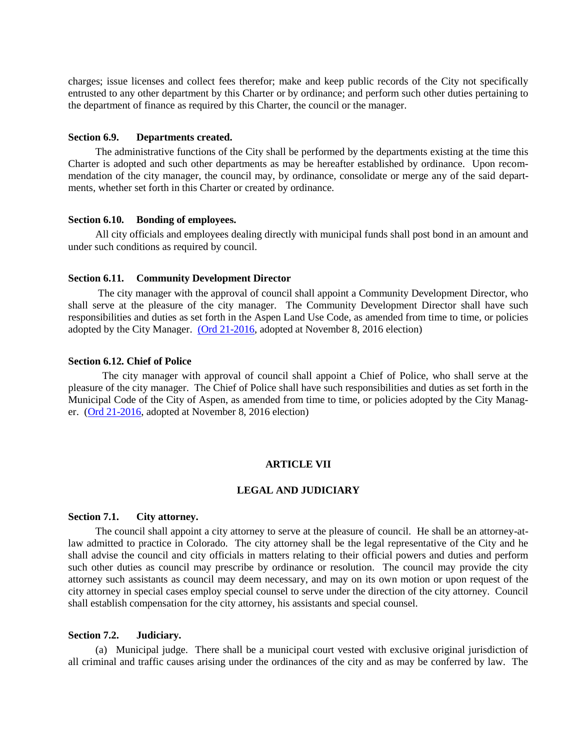charges; issue licenses and collect fees therefor; make and keep public records of the City not specifically entrusted to any other department by this Charter or by ordinance; and perform such other duties pertaining to the department of finance as required by this Charter, the council or the manager.

#### <span id="page-18-0"></span>**Section 6.9. Departments created.**

The administrative functions of the City shall be performed by the departments existing at the time this Charter is adopted and such other departments as may be hereafter established by ordinance. Upon recommendation of the city manager, the council may, by ordinance, consolidate or merge any of the said departments, whether set forth in this Charter or created by ordinance.

#### <span id="page-18-1"></span>**Section 6.10. Bonding of employees.**

All city officials and employees dealing directly with municipal funds shall post bond in an amount and under such conditions as required by council.

#### <span id="page-18-2"></span>**Section 6.11. Community Development Director**

The city manager with the approval of council shall appoint a Community Development Director, who shall serve at the pleasure of the city manager. The Community Development Director shall have such responsibilities and duties as set forth in the Aspen Land Use Code, as amended from time to time, or policies adopted by the City Manager. [\(Ord 21-2016,](http://205.170.51.183/WebLink/0/doc/350872/Page1.aspx) adopted at November 8, 2016 election)

## <span id="page-18-3"></span>**Section 6.12. Chief of Police**

The city manager with approval of council shall appoint a Chief of Police, who shall serve at the pleasure of the city manager. The Chief of Police shall have such responsibilities and duties as set forth in the Municipal Code of the City of Aspen, as amended from time to time, or policies adopted by the City Manager. [\(Ord 21-2016,](http://205.170.51.183/WebLink/0/doc/350872/Page1.aspx) adopted at November 8, 2016 election)

## **ARTICLE VII**

## **LEGAL AND JUDICIARY**

## <span id="page-18-6"></span><span id="page-18-5"></span><span id="page-18-4"></span>**Section 7.1. City attorney.**

The council shall appoint a city attorney to serve at the pleasure of council. He shall be an attorney-atlaw admitted to practice in Colorado. The city attorney shall be the legal representative of the City and he shall advise the council and city officials in matters relating to their official powers and duties and perform such other duties as council may prescribe by ordinance or resolution. The council may provide the city attorney such assistants as council may deem necessary, and may on its own motion or upon request of the city attorney in special cases employ special counsel to serve under the direction of the city attorney. Council shall establish compensation for the city attorney, his assistants and special counsel.

## <span id="page-18-7"></span>**Section 7.2. Judiciary.**

(a) Municipal judge. There shall be a municipal court vested with exclusive original jurisdiction of all criminal and traffic causes arising under the ordinances of the city and as may be conferred by law. The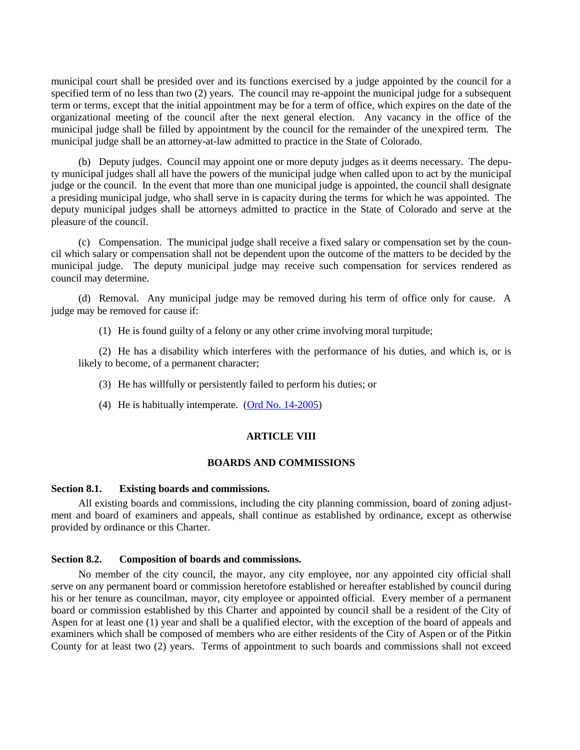municipal court shall be presided over and its functions exercised by a judge appointed by the council for a specified term of no less than two (2) years. The council may re-appoint the municipal judge for a subsequent term or terms, except that the initial appointment may be for a term of office, which expires on the date of the organizational meeting of the council after the next general election. Any vacancy in the office of the municipal judge shall be filled by appointment by the council for the remainder of the unexpired term. The municipal judge shall be an attorney-at-law admitted to practice in the State of Colorado.

(b) Deputy judges. Council may appoint one or more deputy judges as it deems necessary. The deputy municipal judges shall all have the powers of the municipal judge when called upon to act by the municipal judge or the council. In the event that more than one municipal judge is appointed, the council shall designate a presiding municipal judge, who shall serve in is capacity during the terms for which he was appointed. The deputy municipal judges shall be attorneys admitted to practice in the State of Colorado and serve at the pleasure of the council.

(c) Compensation. The municipal judge shall receive a fixed salary or compensation set by the council which salary or compensation shall not be dependent upon the outcome of the matters to be decided by the municipal judge. The deputy municipal judge may receive such compensation for services rendered as council may determine.

(d) Removal. Any municipal judge may be removed during his term of office only for cause. A judge may be removed for cause if:

(1) He is found guilty of a felony or any other crime involving moral turpitude;

(2) He has a disability which interferes with the performance of his duties, and which is, or is likely to become, of a permanent character;

- (3) He has willfully or persistently failed to perform his duties; or
- <span id="page-19-0"></span>(4) He is habitually intemperate. [\(Ord No. 14-2005\)](https://records.cityofaspen.com/WebLink/0/doc/63923/Page1.aspx)

## **ARTICLE VIII**

#### **BOARDS AND COMMISSIONS**

## <span id="page-19-2"></span><span id="page-19-1"></span>**Section 8.1. Existing boards and commissions.**

All existing boards and commissions, including the city planning commission, board of zoning adjustment and board of examiners and appeals, shall continue as established by ordinance, except as otherwise provided by ordinance or this Charter.

#### <span id="page-19-3"></span>**Section 8.2. Composition of boards and commissions.**

No member of the city council, the mayor, any city employee, nor any appointed city official shall serve on any permanent board or commission heretofore established or hereafter established by council during his or her tenure as councilman, mayor, city employee or appointed official. Every member of a permanent board or commission established by this Charter and appointed by council shall be a resident of the City of Aspen for at least one (1) year and shall be a qualified elector, with the exception of the board of appeals and examiners which shall be composed of members who are either residents of the City of Aspen or of the Pitkin County for at least two (2) years. Terms of appointment to such boards and commissions shall not exceed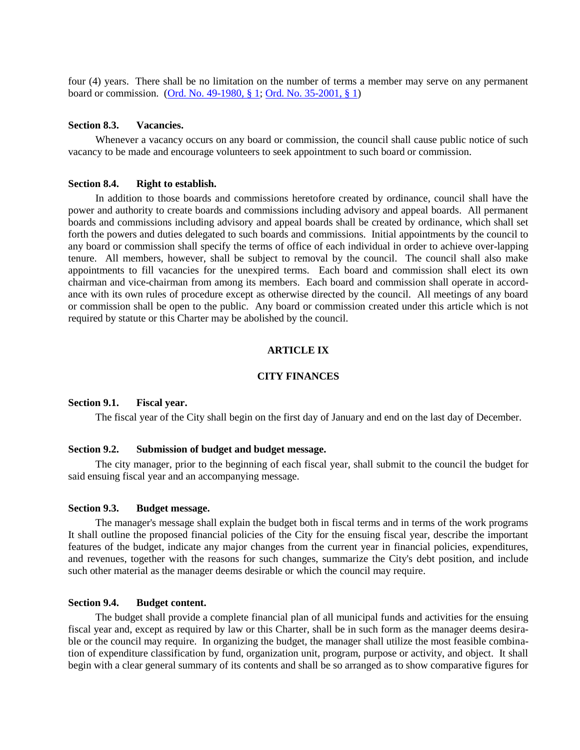four (4) years. There shall be no limitation on the number of terms a member may serve on any permanent board or commission. [\(Ord. No. 49-1980, § 1;](https://records.cityofaspen.com/WebLink/0/doc/65531/Page1.aspx) [Ord. No. 35-2001, § 1\)](https://records.cityofaspen.com/WebLink/0/doc/17166/Page1.aspx)

#### <span id="page-20-0"></span>**Section 8.3. Vacancies.**

Whenever a vacancy occurs on any board or commission, the council shall cause public notice of such vacancy to be made and encourage volunteers to seek appointment to such board or commission.

#### <span id="page-20-1"></span>**Section 8.4. Right to establish.**

In addition to those boards and commissions heretofore created by ordinance, council shall have the power and authority to create boards and commissions including advisory and appeal boards. All permanent boards and commissions including advisory and appeal boards shall be created by ordinance, which shall set forth the powers and duties delegated to such boards and commissions. Initial appointments by the council to any board or commission shall specify the terms of office of each individual in order to achieve over-lapping tenure. All members, however, shall be subject to removal by the council. The council shall also make appointments to fill vacancies for the unexpired terms. Each board and commission shall elect its own chairman and vice-chairman from among its members. Each board and commission shall operate in accordance with its own rules of procedure except as otherwise directed by the council. All meetings of any board or commission shall be open to the public. Any board or commission created under this article which is not required by statute or this Charter may be abolished by the council.

#### **ARTICLE IX**

## **CITY FINANCES**

#### <span id="page-20-4"></span><span id="page-20-3"></span><span id="page-20-2"></span>**Section 9.1. Fiscal year.**

The fiscal year of the City shall begin on the first day of January and end on the last day of December.

#### <span id="page-20-5"></span>**Section 9.2. Submission of budget and budget message.**

The city manager, prior to the beginning of each fiscal year, shall submit to the council the budget for said ensuing fiscal year and an accompanying message.

#### <span id="page-20-6"></span>**Section 9.3. Budget message.**

The manager's message shall explain the budget both in fiscal terms and in terms of the work programs It shall outline the proposed financial policies of the City for the ensuing fiscal year, describe the important features of the budget, indicate any major changes from the current year in financial policies, expenditures, and revenues, together with the reasons for such changes, summarize the City's debt position, and include such other material as the manager deems desirable or which the council may require.

#### <span id="page-20-7"></span>**Section 9.4. Budget content.**

The budget shall provide a complete financial plan of all municipal funds and activities for the ensuing fiscal year and, except as required by law or this Charter, shall be in such form as the manager deems desirable or the council may require. In organizing the budget, the manager shall utilize the most feasible combination of expenditure classification by fund, organization unit, program, purpose or activity, and object. It shall begin with a clear general summary of its contents and shall be so arranged as to show comparative figures for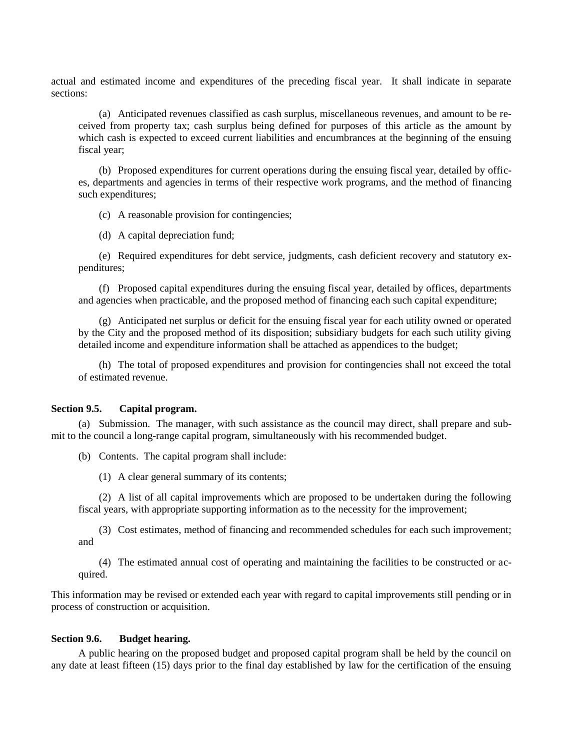actual and estimated income and expenditures of the preceding fiscal year. It shall indicate in separate sections:

(a) Anticipated revenues classified as cash surplus, miscellaneous revenues, and amount to be received from property tax; cash surplus being defined for purposes of this article as the amount by which cash is expected to exceed current liabilities and encumbrances at the beginning of the ensuing fiscal year;

(b) Proposed expenditures for current operations during the ensuing fiscal year, detailed by offices, departments and agencies in terms of their respective work programs, and the method of financing such expenditures;

(c) A reasonable provision for contingencies;

(d) A capital depreciation fund;

(e) Required expenditures for debt service, judgments, cash deficient recovery and statutory expenditures;

(f) Proposed capital expenditures during the ensuing fiscal year, detailed by offices, departments and agencies when practicable, and the proposed method of financing each such capital expenditure;

(g) Anticipated net surplus or deficit for the ensuing fiscal year for each utility owned or operated by the City and the proposed method of its disposition; subsidiary budgets for each such utility giving detailed income and expenditure information shall be attached as appendices to the budget;

(h) The total of proposed expenditures and provision for contingencies shall not exceed the total of estimated revenue.

#### <span id="page-21-0"></span>**Section 9.5. Capital program.**

(a) Submission. The manager, with such assistance as the council may direct, shall prepare and submit to the council a long-range capital program, simultaneously with his recommended budget.

(b) Contents. The capital program shall include:

(1) A clear general summary of its contents;

(2) A list of all capital improvements which are proposed to be undertaken during the following fiscal years, with appropriate supporting information as to the necessity for the improvement;

(3) Cost estimates, method of financing and recommended schedules for each such improvement; and

(4) The estimated annual cost of operating and maintaining the facilities to be constructed or acquired.

This information may be revised or extended each year with regard to capital improvements still pending or in process of construction or acquisition.

#### <span id="page-21-1"></span>**Section 9.6. Budget hearing.**

A public hearing on the proposed budget and proposed capital program shall be held by the council on any date at least fifteen (15) days prior to the final day established by law for the certification of the ensuing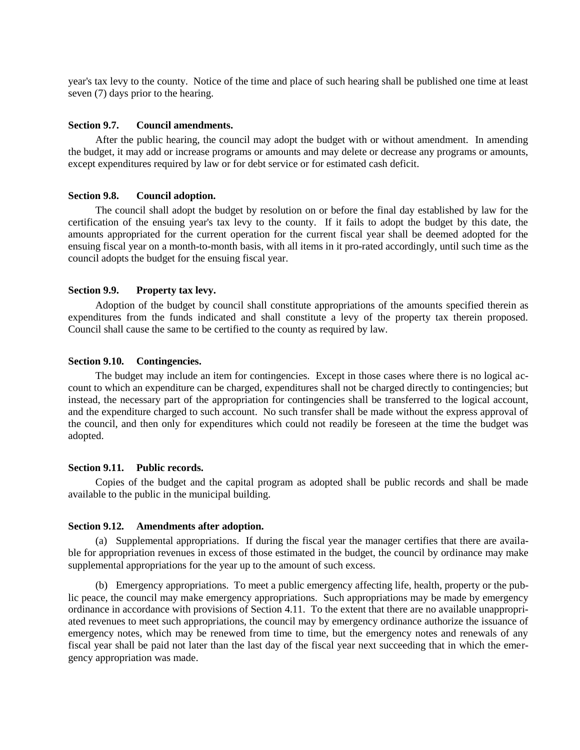year's tax levy to the county. Notice of the time and place of such hearing shall be published one time at least seven (7) days prior to the hearing.

## <span id="page-22-0"></span>**Section 9.7. Council amendments.**

After the public hearing, the council may adopt the budget with or without amendment. In amending the budget, it may add or increase programs or amounts and may delete or decrease any programs or amounts, except expenditures required by law or for debt service or for estimated cash deficit.

#### <span id="page-22-1"></span>**Section 9.8. Council adoption.**

The council shall adopt the budget by resolution on or before the final day established by law for the certification of the ensuing year's tax levy to the county. If it fails to adopt the budget by this date, the amounts appropriated for the current operation for the current fiscal year shall be deemed adopted for the ensuing fiscal year on a month-to-month basis, with all items in it pro-rated accordingly, until such time as the council adopts the budget for the ensuing fiscal year.

#### <span id="page-22-2"></span>**Section 9.9. Property tax levy.**

Adoption of the budget by council shall constitute appropriations of the amounts specified therein as expenditures from the funds indicated and shall constitute a levy of the property tax therein proposed. Council shall cause the same to be certified to the county as required by law.

#### <span id="page-22-3"></span>**Section 9.10. Contingencies.**

The budget may include an item for contingencies. Except in those cases where there is no logical account to which an expenditure can be charged, expenditures shall not be charged directly to contingencies; but instead, the necessary part of the appropriation for contingencies shall be transferred to the logical account, and the expenditure charged to such account. No such transfer shall be made without the express approval of the council, and then only for expenditures which could not readily be foreseen at the time the budget was adopted.

#### <span id="page-22-4"></span>**Section 9.11. Public records.**

Copies of the budget and the capital program as adopted shall be public records and shall be made available to the public in the municipal building.

#### <span id="page-22-5"></span>**Section 9.12. Amendments after adoption.**

(a) Supplemental appropriations. If during the fiscal year the manager certifies that there are available for appropriation revenues in excess of those estimated in the budget, the council by ordinance may make supplemental appropriations for the year up to the amount of such excess.

(b) Emergency appropriations. To meet a public emergency affecting life, health, property or the public peace, the council may make emergency appropriations. Such appropriations may be made by emergency ordinance in accordance with provisions of Section 4.11. To the extent that there are no available unappropriated revenues to meet such appropriations, the council may by emergency ordinance authorize the issuance of emergency notes, which may be renewed from time to time, but the emergency notes and renewals of any fiscal year shall be paid not later than the last day of the fiscal year next succeeding that in which the emergency appropriation was made.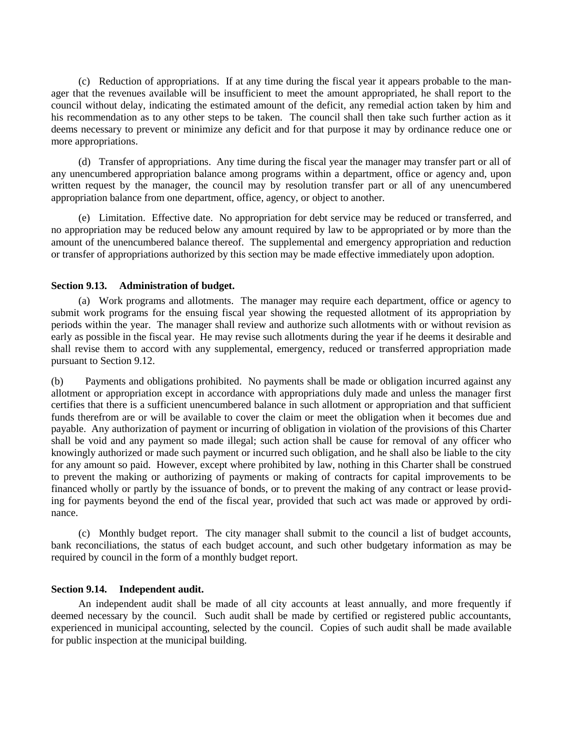(c) Reduction of appropriations. If at any time during the fiscal year it appears probable to the manager that the revenues available will be insufficient to meet the amount appropriated, he shall report to the council without delay, indicating the estimated amount of the deficit, any remedial action taken by him and his recommendation as to any other steps to be taken. The council shall then take such further action as it deems necessary to prevent or minimize any deficit and for that purpose it may by ordinance reduce one or more appropriations.

(d) Transfer of appropriations. Any time during the fiscal year the manager may transfer part or all of any unencumbered appropriation balance among programs within a department, office or agency and, upon written request by the manager, the council may by resolution transfer part or all of any unencumbered appropriation balance from one department, office, agency, or object to another.

(e) Limitation. Effective date. No appropriation for debt service may be reduced or transferred, and no appropriation may be reduced below any amount required by law to be appropriated or by more than the amount of the unencumbered balance thereof. The supplemental and emergency appropriation and reduction or transfer of appropriations authorized by this section may be made effective immediately upon adoption.

## <span id="page-23-0"></span>**Section 9.13. Administration of budget.**

(a) Work programs and allotments. The manager may require each department, office or agency to submit work programs for the ensuing fiscal year showing the requested allotment of its appropriation by periods within the year. The manager shall review and authorize such allotments with or without revision as early as possible in the fiscal year. He may revise such allotments during the year if he deems it desirable and shall revise them to accord with any supplemental, emergency, reduced or transferred appropriation made pursuant to Section 9.12.

(b) Payments and obligations prohibited. No payments shall be made or obligation incurred against any allotment or appropriation except in accordance with appropriations duly made and unless the manager first certifies that there is a sufficient unencumbered balance in such allotment or appropriation and that sufficient funds therefrom are or will be available to cover the claim or meet the obligation when it becomes due and payable. Any authorization of payment or incurring of obligation in violation of the provisions of this Charter shall be void and any payment so made illegal; such action shall be cause for removal of any officer who knowingly authorized or made such payment or incurred such obligation, and he shall also be liable to the city for any amount so paid. However, except where prohibited by law, nothing in this Charter shall be construed to prevent the making or authorizing of payments or making of contracts for capital improvements to be financed wholly or partly by the issuance of bonds, or to prevent the making of any contract or lease providing for payments beyond the end of the fiscal year, provided that such act was made or approved by ordinance.

(c) Monthly budget report. The city manager shall submit to the council a list of budget accounts, bank reconciliations, the status of each budget account, and such other budgetary information as may be required by council in the form of a monthly budget report.

## <span id="page-23-1"></span>**Section 9.14. Independent audit.**

An independent audit shall be made of all city accounts at least annually, and more frequently if deemed necessary by the council. Such audit shall be made by certified or registered public accountants, experienced in municipal accounting, selected by the council. Copies of such audit shall be made available for public inspection at the municipal building.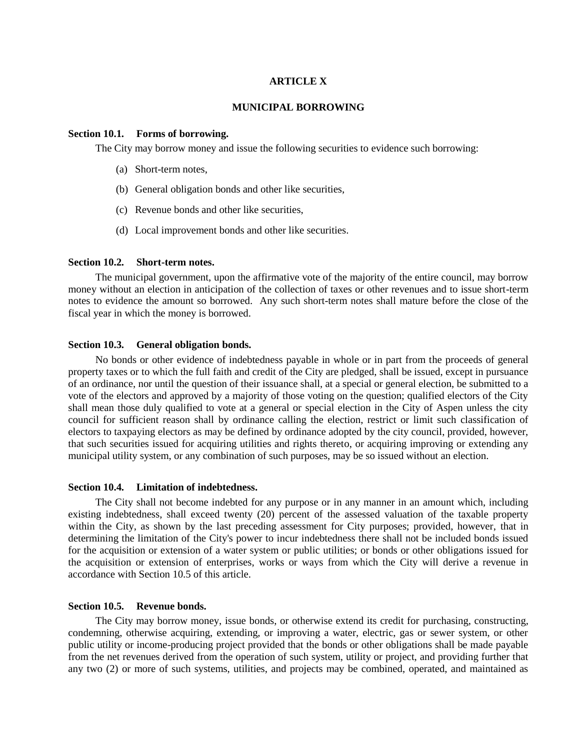## **ARTICLE X**

## **MUNICIPAL BORROWING**

#### <span id="page-24-2"></span><span id="page-24-1"></span><span id="page-24-0"></span>**Section 10.1. Forms of borrowing.**

The City may borrow money and issue the following securities to evidence such borrowing:

- (a) Short-term notes,
- (b) General obligation bonds and other like securities,
- (c) Revenue bonds and other like securities,
- (d) Local improvement bonds and other like securities.

#### <span id="page-24-3"></span>**Section 10.2. Short-term notes.**

The municipal government, upon the affirmative vote of the majority of the entire council, may borrow money without an election in anticipation of the collection of taxes or other revenues and to issue short-term notes to evidence the amount so borrowed. Any such short-term notes shall mature before the close of the fiscal year in which the money is borrowed.

#### <span id="page-24-4"></span>**Section 10.3. General obligation bonds.**

No bonds or other evidence of indebtedness payable in whole or in part from the proceeds of general property taxes or to which the full faith and credit of the City are pledged, shall be issued, except in pursuance of an ordinance, nor until the question of their issuance shall, at a special or general election, be submitted to a vote of the electors and approved by a majority of those voting on the question; qualified electors of the City shall mean those duly qualified to vote at a general or special election in the City of Aspen unless the city council for sufficient reason shall by ordinance calling the election, restrict or limit such classification of electors to taxpaying electors as may be defined by ordinance adopted by the city council, provided, however, that such securities issued for acquiring utilities and rights thereto, or acquiring improving or extending any municipal utility system, or any combination of such purposes, may be so issued without an election.

#### <span id="page-24-5"></span>**Section 10.4. Limitation of indebtedness.**

The City shall not become indebted for any purpose or in any manner in an amount which, including existing indebtedness, shall exceed twenty (20) percent of the assessed valuation of the taxable property within the City, as shown by the last preceding assessment for City purposes; provided, however, that in determining the limitation of the City's power to incur indebtedness there shall not be included bonds issued for the acquisition or extension of a water system or public utilities; or bonds or other obligations issued for the acquisition or extension of enterprises, works or ways from which the City will derive a revenue in accordance with Section 10.5 of this article.

#### <span id="page-24-6"></span>**Section 10.5. Revenue bonds.**

The City may borrow money, issue bonds, or otherwise extend its credit for purchasing, constructing, condemning, otherwise acquiring, extending, or improving a water, electric, gas or sewer system, or other public utility or income-producing project provided that the bonds or other obligations shall be made payable from the net revenues derived from the operation of such system, utility or project, and providing further that any two (2) or more of such systems, utilities, and projects may be combined, operated, and maintained as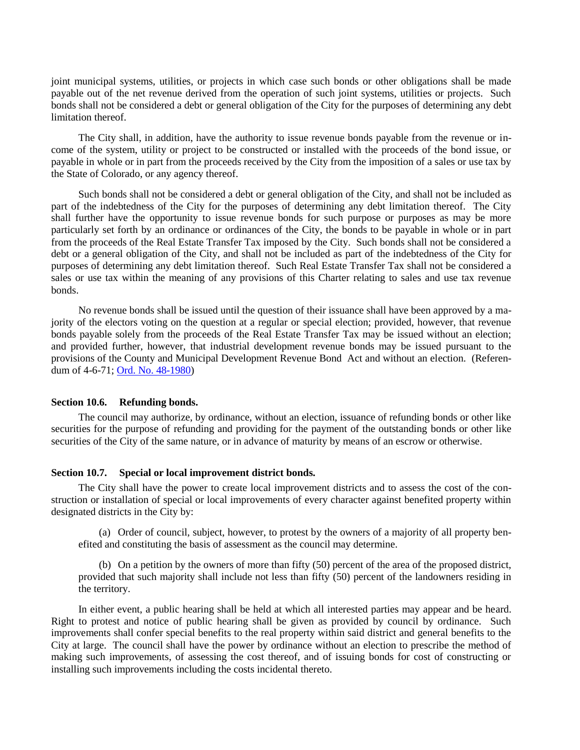joint municipal systems, utilities, or projects in which case such bonds or other obligations shall be made payable out of the net revenue derived from the operation of such joint systems, utilities or projects. Such bonds shall not be considered a debt or general obligation of the City for the purposes of determining any debt limitation thereof.

The City shall, in addition, have the authority to issue revenue bonds payable from the revenue or income of the system, utility or project to be constructed or installed with the proceeds of the bond issue, or payable in whole or in part from the proceeds received by the City from the imposition of a sales or use tax by the State of Colorado, or any agency thereof.

Such bonds shall not be considered a debt or general obligation of the City, and shall not be included as part of the indebtedness of the City for the purposes of determining any debt limitation thereof. The City shall further have the opportunity to issue revenue bonds for such purpose or purposes as may be more particularly set forth by an ordinance or ordinances of the City, the bonds to be payable in whole or in part from the proceeds of the Real Estate Transfer Tax imposed by the City. Such bonds shall not be considered a debt or a general obligation of the City, and shall not be included as part of the indebtedness of the City for purposes of determining any debt limitation thereof. Such Real Estate Transfer Tax shall not be considered a sales or use tax within the meaning of any provisions of this Charter relating to sales and use tax revenue bonds.

No revenue bonds shall be issued until the question of their issuance shall have been approved by a majority of the electors voting on the question at a regular or special election; provided, however, that revenue bonds payable solely from the proceeds of the Real Estate Transfer Tax may be issued without an election; and provided further, however, that industrial development revenue bonds may be issued pursuant to the provisions of the County and Municipal Development Revenue Bond Act and without an election. (Referendum of 4-6-71; [Ord. No. 48-1980\)](https://records.cityofaspen.com/WebLink/0/doc/65530/Page1.aspx)

#### <span id="page-25-0"></span>**Section 10.6. Refunding bonds.**

The council may authorize, by ordinance, without an election, issuance of refunding bonds or other like securities for the purpose of refunding and providing for the payment of the outstanding bonds or other like securities of the City of the same nature, or in advance of maturity by means of an escrow or otherwise.

## <span id="page-25-1"></span>**Section 10.7. Special or local improvement district bonds.**

The City shall have the power to create local improvement districts and to assess the cost of the construction or installation of special or local improvements of every character against benefited property within designated districts in the City by:

(a) Order of council, subject, however, to protest by the owners of a majority of all property benefited and constituting the basis of assessment as the council may determine.

(b) On a petition by the owners of more than fifty (50) percent of the area of the proposed district, provided that such majority shall include not less than fifty (50) percent of the landowners residing in the territory.

In either event, a public hearing shall be held at which all interested parties may appear and be heard. Right to protest and notice of public hearing shall be given as provided by council by ordinance. Such improvements shall confer special benefits to the real property within said district and general benefits to the City at large. The council shall have the power by ordinance without an election to prescribe the method of making such improvements, of assessing the cost thereof, and of issuing bonds for cost of constructing or installing such improvements including the costs incidental thereto.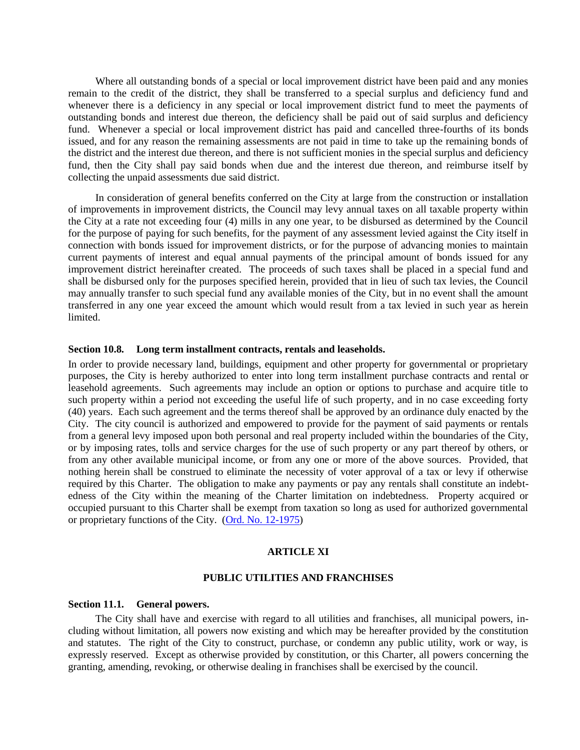Where all outstanding bonds of a special or local improvement district have been paid and any monies remain to the credit of the district, they shall be transferred to a special surplus and deficiency fund and whenever there is a deficiency in any special or local improvement district fund to meet the payments of outstanding bonds and interest due thereon, the deficiency shall be paid out of said surplus and deficiency fund. Whenever a special or local improvement district has paid and cancelled three-fourths of its bonds issued, and for any reason the remaining assessments are not paid in time to take up the remaining bonds of the district and the interest due thereon, and there is not sufficient monies in the special surplus and deficiency fund, then the City shall pay said bonds when due and the interest due thereon, and reimburse itself by collecting the unpaid assessments due said district.

In consideration of general benefits conferred on the City at large from the construction or installation of improvements in improvement districts, the Council may levy annual taxes on all taxable property within the City at a rate not exceeding four (4) mills in any one year, to be disbursed as determined by the Council for the purpose of paying for such benefits, for the payment of any assessment levied against the City itself in connection with bonds issued for improvement districts, or for the purpose of advancing monies to maintain current payments of interest and equal annual payments of the principal amount of bonds issued for any improvement district hereinafter created. The proceeds of such taxes shall be placed in a special fund and shall be disbursed only for the purposes specified herein, provided that in lieu of such tax levies, the Council may annually transfer to such special fund any available monies of the City, but in no event shall the amount transferred in any one year exceed the amount which would result from a tax levied in such year as herein limited.

#### <span id="page-26-0"></span>**Section 10.8. Long term installment contracts, rentals and leaseholds.**

In order to provide necessary land, buildings, equipment and other property for governmental or proprietary purposes, the City is hereby authorized to enter into long term installment purchase contracts and rental or leasehold agreements. Such agreements may include an option or options to purchase and acquire title to such property within a period not exceeding the useful life of such property, and in no case exceeding forty (40) years. Each such agreement and the terms thereof shall be approved by an ordinance duly enacted by the City. The city council is authorized and empowered to provide for the payment of said payments or rentals from a general levy imposed upon both personal and real property included within the boundaries of the City, or by imposing rates, tolls and service charges for the use of such property or any part thereof by others, or from any other available municipal income, or from any one or more of the above sources. Provided, that nothing herein shall be construed to eliminate the necessity of voter approval of a tax or levy if otherwise required by this Charter. The obligation to make any payments or pay any rentals shall constitute an indebtedness of the City within the meaning of the Charter limitation on indebtedness. Property acquired or occupied pursuant to this Charter shall be exempt from taxation so long as used for authorized governmental or proprietary functions of the City. [\(Ord. No. 12-1975\)](https://records.cityofaspen.com/WebLink/0/doc/64647/Page1.aspx)

#### **ARTICLE XI**

## **PUBLIC UTILITIES AND FRANCHISES**

#### <span id="page-26-3"></span><span id="page-26-2"></span><span id="page-26-1"></span>**Section 11.1. General powers.**

The City shall have and exercise with regard to all utilities and franchises, all municipal powers, including without limitation, all powers now existing and which may be hereafter provided by the constitution and statutes. The right of the City to construct, purchase, or condemn any public utility, work or way, is expressly reserved. Except as otherwise provided by constitution, or this Charter, all powers concerning the granting, amending, revoking, or otherwise dealing in franchises shall be exercised by the council.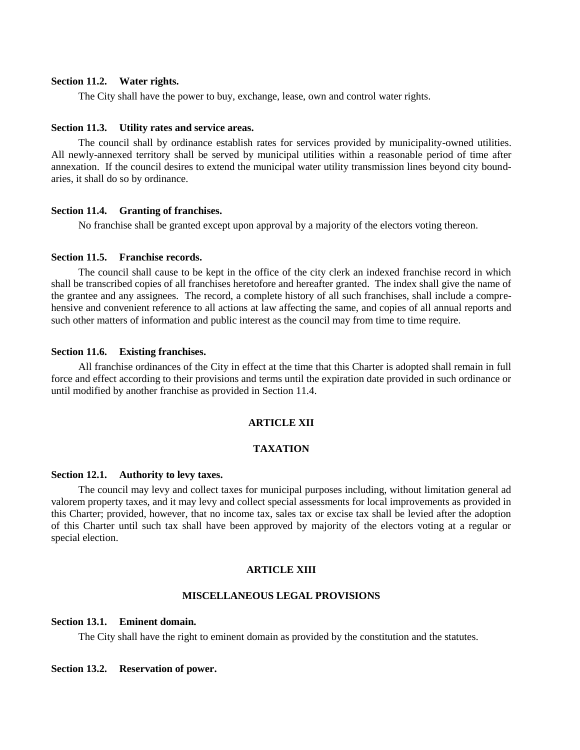## <span id="page-27-0"></span>**Section 11.2. Water rights.**

The City shall have the power to buy, exchange, lease, own and control water rights.

#### <span id="page-27-1"></span>**Section 11.3. Utility rates and service areas.**

The council shall by ordinance establish rates for services provided by municipality-owned utilities. All newly-annexed territory shall be served by municipal utilities within a reasonable period of time after annexation. If the council desires to extend the municipal water utility transmission lines beyond city boundaries, it shall do so by ordinance.

#### <span id="page-27-2"></span>**Section 11.4. Granting of franchises.**

No franchise shall be granted except upon approval by a majority of the electors voting thereon.

#### <span id="page-27-3"></span>**Section 11.5. Franchise records.**

The council shall cause to be kept in the office of the city clerk an indexed franchise record in which shall be transcribed copies of all franchises heretofore and hereafter granted. The index shall give the name of the grantee and any assignees. The record, a complete history of all such franchises, shall include a comprehensive and convenient reference to all actions at law affecting the same, and copies of all annual reports and such other matters of information and public interest as the council may from time to time require.

#### <span id="page-27-4"></span>**Section 11.6. Existing franchises.**

<span id="page-27-5"></span>All franchise ordinances of the City in effect at the time that this Charter is adopted shall remain in full force and effect according to their provisions and terms until the expiration date provided in such ordinance or until modified by another franchise as provided in Section 11.4.

## **ARTICLE XII**

## **TAXATION**

#### <span id="page-27-7"></span><span id="page-27-6"></span>**Section 12.1. Authority to levy taxes.**

The council may levy and collect taxes for municipal purposes including, without limitation general ad valorem property taxes, and it may levy and collect special assessments for local improvements as provided in this Charter; provided, however, that no income tax, sales tax or excise tax shall be levied after the adoption of this Charter until such tax shall have been approved by majority of the electors voting at a regular or special election.

#### **ARTICLE XIII**

## **MISCELLANEOUS LEGAL PROVISIONS**

#### <span id="page-27-10"></span><span id="page-27-9"></span><span id="page-27-8"></span>**Section 13.1. Eminent domain.**

The City shall have the right to eminent domain as provided by the constitution and the statutes.

#### <span id="page-27-11"></span>**Section 13.2. Reservation of power.**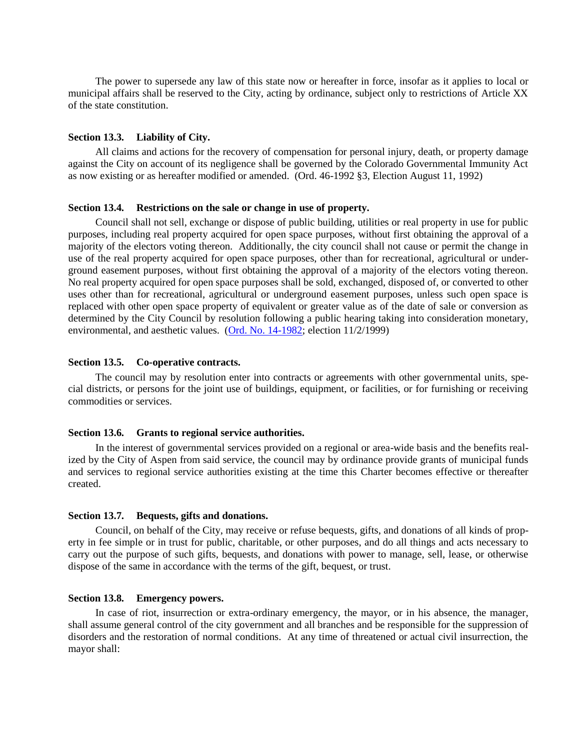The power to supersede any law of this state now or hereafter in force, insofar as it applies to local or municipal affairs shall be reserved to the City, acting by ordinance, subject only to restrictions of Article XX of the state constitution.

#### <span id="page-28-0"></span>**Section 13.3. Liability of City.**

All claims and actions for the recovery of compensation for personal injury, death, or property damage against the City on account of its negligence shall be governed by the Colorado Governmental Immunity Act as now existing or as hereafter modified or amended. (Ord. 46-1992 §3, Election August 11, 1992)

#### <span id="page-28-1"></span>**Section 13.4. Restrictions on the sale or change in use of property.**

Council shall not sell, exchange or dispose of public building, utilities or real property in use for public purposes, including real property acquired for open space purposes, without first obtaining the approval of a majority of the electors voting thereon. Additionally, the city council shall not cause or permit the change in use of the real property acquired for open space purposes, other than for recreational, agricultural or underground easement purposes, without first obtaining the approval of a majority of the electors voting thereon. No real property acquired for open space purposes shall be sold, exchanged, disposed of, or converted to other uses other than for recreational, agricultural or underground easement purposes, unless such open space is replaced with other open space property of equivalent or greater value as of the date of sale or conversion as determined by the City Council by resolution following a public hearing taking into consideration monetary, environmental, and aesthetic values. [\(Ord. No. 14-1982;](https://records.cityofaspen.com/WebLink/0/doc/34541/Page1.aspx) election 11/2/1999)

#### <span id="page-28-2"></span>**Section 13.5. Co-operative contracts.**

The council may by resolution enter into contracts or agreements with other governmental units, special districts, or persons for the joint use of buildings, equipment, or facilities, or for furnishing or receiving commodities or services.

#### <span id="page-28-3"></span>**Section 13.6. Grants to regional service authorities.**

In the interest of governmental services provided on a regional or area-wide basis and the benefits realized by the City of Aspen from said service, the council may by ordinance provide grants of municipal funds and services to regional service authorities existing at the time this Charter becomes effective or thereafter created.

#### <span id="page-28-4"></span>**Section 13.7. Bequests, gifts and donations.**

Council, on behalf of the City, may receive or refuse bequests, gifts, and donations of all kinds of property in fee simple or in trust for public, charitable, or other purposes, and do all things and acts necessary to carry out the purpose of such gifts, bequests, and donations with power to manage, sell, lease, or otherwise dispose of the same in accordance with the terms of the gift, bequest, or trust.

#### <span id="page-28-5"></span>**Section 13.8. Emergency powers.**

In case of riot, insurrection or extra-ordinary emergency, the mayor, or in his absence, the manager, shall assume general control of the city government and all branches and be responsible for the suppression of disorders and the restoration of normal conditions. At any time of threatened or actual civil insurrection, the mayor shall: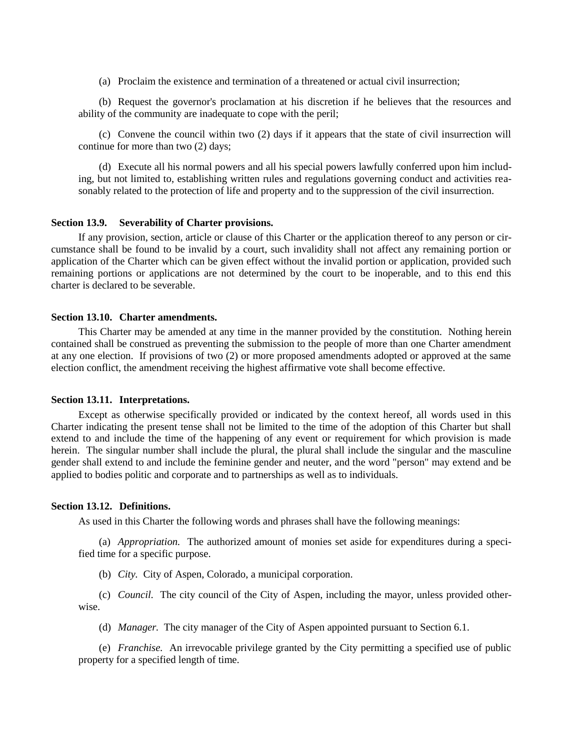(a) Proclaim the existence and termination of a threatened or actual civil insurrection;

(b) Request the governor's proclamation at his discretion if he believes that the resources and ability of the community are inadequate to cope with the peril;

(c) Convene the council within two (2) days if it appears that the state of civil insurrection will continue for more than two (2) days;

(d) Execute all his normal powers and all his special powers lawfully conferred upon him including, but not limited to, establishing written rules and regulations governing conduct and activities reasonably related to the protection of life and property and to the suppression of the civil insurrection.

#### <span id="page-29-0"></span>**Section 13.9. Severability of Charter provisions.**

If any provision, section, article or clause of this Charter or the application thereof to any person or circumstance shall be found to be invalid by a court, such invalidity shall not affect any remaining portion or application of the Charter which can be given effect without the invalid portion or application, provided such remaining portions or applications are not determined by the court to be inoperable, and to this end this charter is declared to be severable.

#### <span id="page-29-1"></span>**Section 13.10. Charter amendments.**

This Charter may be amended at any time in the manner provided by the constitution. Nothing herein contained shall be construed as preventing the submission to the people of more than one Charter amendment at any one election. If provisions of two (2) or more proposed amendments adopted or approved at the same election conflict, the amendment receiving the highest affirmative vote shall become effective.

#### <span id="page-29-2"></span>**Section 13.11. Interpretations.**

Except as otherwise specifically provided or indicated by the context hereof, all words used in this Charter indicating the present tense shall not be limited to the time of the adoption of this Charter but shall extend to and include the time of the happening of any event or requirement for which provision is made herein. The singular number shall include the plural, the plural shall include the singular and the masculine gender shall extend to and include the feminine gender and neuter, and the word "person" may extend and be applied to bodies politic and corporate and to partnerships as well as to individuals.

## <span id="page-29-3"></span>**Section 13.12. Definitions.**

As used in this Charter the following words and phrases shall have the following meanings:

(a) *Appropriation.* The authorized amount of monies set aside for expenditures during a specified time for a specific purpose.

(b) *City.* City of Aspen, Colorado, a municipal corporation.

(c) *Council.* The city council of the City of Aspen, including the mayor, unless provided otherwise.

(d) *Manager.* The city manager of the City of Aspen appointed pursuant to Section 6.1.

(e) *Franchise.* An irrevocable privilege granted by the City permitting a specified use of public property for a specified length of time.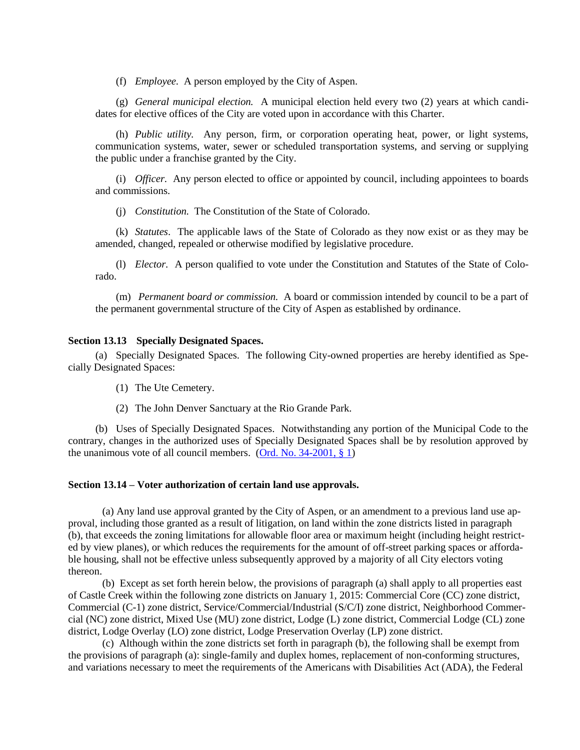(f) *Employee.* A person employed by the City of Aspen.

(g) *General municipal election.* A municipal election held every two (2) years at which candidates for elective offices of the City are voted upon in accordance with this Charter.

(h) *Public utility.* Any person, firm, or corporation operating heat, power, or light systems, communication systems, water, sewer or scheduled transportation systems, and serving or supplying the public under a franchise granted by the City.

(i) *Officer.* Any person elected to office or appointed by council, including appointees to boards and commissions.

(j) *Constitution.* The Constitution of the State of Colorado.

(k) *Statutes*. The applicable laws of the State of Colorado as they now exist or as they may be amended, changed, repealed or otherwise modified by legislative procedure.

(l) *Elector.* A person qualified to vote under the Constitution and Statutes of the State of Colorado.

(m) *Permanent board or commission.* A board or commission intended by council to be a part of the permanent governmental structure of the City of Aspen as established by ordinance.

#### <span id="page-30-0"></span>**Section 13.13 Specially Designated Spaces.**

(a) Specially Designated Spaces. The following City-owned properties are hereby identified as Specially Designated Spaces:

(1) The Ute Cemetery.

(2) The John Denver Sanctuary at the Rio Grande Park.

(b) Uses of Specially Designated Spaces. Notwithstanding any portion of the Municipal Code to the contrary, changes in the authorized uses of Specially Designated Spaces shall be by resolution approved by the unanimous vote of all council members. (Ord. No.  $34-2001$ , § 1)

#### <span id="page-30-1"></span>**Section 13.14 – Voter authorization of certain land use approvals.**

(a) Any land use approval granted by the City of Aspen, or an amendment to a previous land use approval, including those granted as a result of litigation, on land within the zone districts listed in paragraph (b), that exceeds the zoning limitations for allowable floor area or maximum height (including height restricted by view planes), or which reduces the requirements for the amount of off-street parking spaces or affordable housing, shall not be effective unless subsequently approved by a majority of all City electors voting thereon.

(b) Except as set forth herein below, the provisions of paragraph (a) shall apply to all properties east of Castle Creek within the following zone districts on January 1, 2015: Commercial Core (CC) zone district, Commercial (C-1) zone district, Service/Commercial/Industrial (S/C/I) zone district, Neighborhood Commercial (NC) zone district, Mixed Use (MU) zone district, Lodge (L) zone district, Commercial Lodge (CL) zone district, Lodge Overlay (LO) zone district, Lodge Preservation Overlay (LP) zone district.

(c) Although within the zone districts set forth in paragraph (b), the following shall be exempt from the provisions of paragraph (a): single-family and duplex homes, replacement of non-conforming structures, and variations necessary to meet the requirements of the Americans with Disabilities Act (ADA), the Federal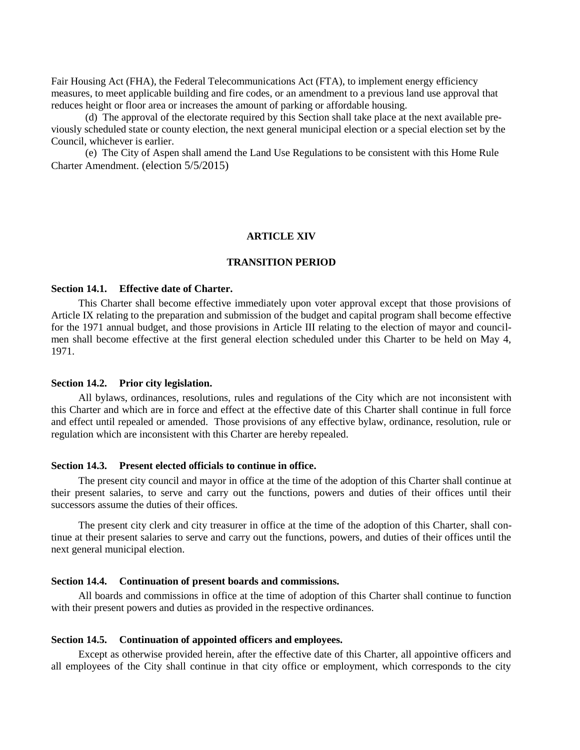Fair Housing Act (FHA), the Federal Telecommunications Act (FTA), to implement energy efficiency measures, to meet applicable building and fire codes, or an amendment to a previous land use approval that reduces height or floor area or increases the amount of parking or affordable housing.

(d) The approval of the electorate required by this Section shall take place at the next available previously scheduled state or county election, the next general municipal election or a special election set by the Council, whichever is earlier.

(e) The City of Aspen shall amend the Land Use Regulations to be consistent with this Home Rule Charter Amendment. (election 5/5/2015)

#### **ARTICLE XIV**

## **TRANSITION PERIOD**

## <span id="page-31-2"></span><span id="page-31-1"></span><span id="page-31-0"></span>**Section 14.1. Effective date of Charter.**

This Charter shall become effective immediately upon voter approval except that those provisions of Article IX relating to the preparation and submission of the budget and capital program shall become effective for the 1971 annual budget, and those provisions in Article III relating to the election of mayor and councilmen shall become effective at the first general election scheduled under this Charter to be held on May 4, 1971.

#### <span id="page-31-3"></span>**Section 14.2. Prior city legislation.**

All bylaws, ordinances, resolutions, rules and regulations of the City which are not inconsistent with this Charter and which are in force and effect at the effective date of this Charter shall continue in full force and effect until repealed or amended. Those provisions of any effective bylaw, ordinance, resolution, rule or regulation which are inconsistent with this Charter are hereby repealed.

## <span id="page-31-4"></span>**Section 14.3. Present elected officials to continue in office.**

The present city council and mayor in office at the time of the adoption of this Charter shall continue at their present salaries, to serve and carry out the functions, powers and duties of their offices until their successors assume the duties of their offices.

The present city clerk and city treasurer in office at the time of the adoption of this Charter, shall continue at their present salaries to serve and carry out the functions, powers, and duties of their offices until the next general municipal election.

#### <span id="page-31-5"></span>**Section 14.4. Continuation of present boards and commissions.**

All boards and commissions in office at the time of adoption of this Charter shall continue to function with their present powers and duties as provided in the respective ordinances.

#### <span id="page-31-6"></span>**Section 14.5. Continuation of appointed officers and employees.**

Except as otherwise provided herein, after the effective date of this Charter, all appointive officers and all employees of the City shall continue in that city office or employment, which corresponds to the city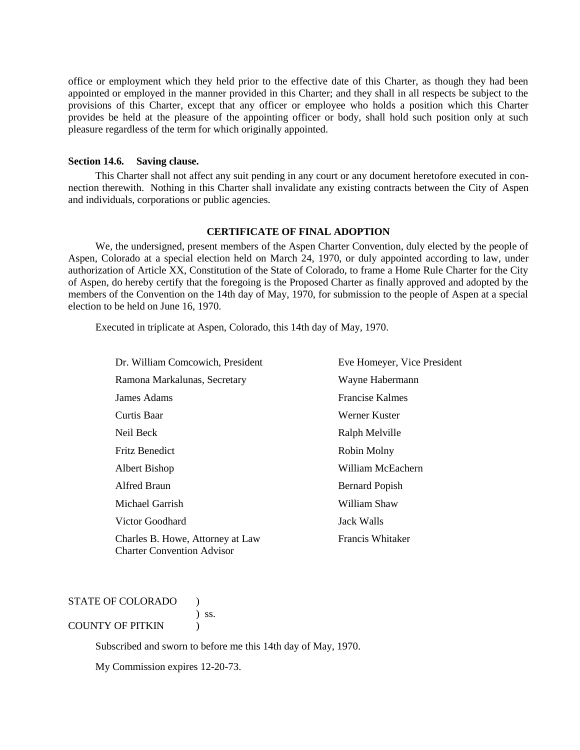office or employment which they held prior to the effective date of this Charter, as though they had been appointed or employed in the manner provided in this Charter; and they shall in all respects be subject to the provisions of this Charter, except that any officer or employee who holds a position which this Charter provides be held at the pleasure of the appointing officer or body, shall hold such position only at such pleasure regardless of the term for which originally appointed.

## <span id="page-32-0"></span>**Section 14.6. Saving clause.**

This Charter shall not affect any suit pending in any court or any document heretofore executed in connection therewith. Nothing in this Charter shall invalidate any existing contracts between the City of Aspen and individuals, corporations or public agencies.

## **CERTIFICATE OF FINAL ADOPTION**

<span id="page-32-1"></span>We, the undersigned, present members of the Aspen Charter Convention, duly elected by the people of Aspen, Colorado at a special election held on March 24, 1970, or duly appointed according to law, under authorization of Article XX, Constitution of the State of Colorado, to frame a Home Rule Charter for the City of Aspen, do hereby certify that the foregoing is the Proposed Charter as finally approved and adopted by the members of the Convention on the 14th day of May, 1970, for submission to the people of Aspen at a special election to be held on June 16, 1970.

Executed in triplicate at Aspen, Colorado, this 14th day of May, 1970.

| Dr. William Comcowich, President                                      | Eve Homeyer, Vice President |
|-----------------------------------------------------------------------|-----------------------------|
| Ramona Markalunas, Secretary                                          | Wayne Habermann             |
| James Adams                                                           | <b>Francise Kalmes</b>      |
| Curtis Baar                                                           | Werner Kuster               |
| Neil Beck                                                             | Ralph Melville              |
| <b>Fritz Benedict</b>                                                 | Robin Molny                 |
| Albert Bishop                                                         | William McEachern           |
| Alfred Braun                                                          | <b>Bernard Popish</b>       |
| Michael Garrish                                                       | William Shaw                |
| Victor Goodhard                                                       | Jack Walls                  |
| Charles B. Howe, Attorney at Law<br><b>Charter Convention Advisor</b> | Francis Whitaker            |

## STATE OF COLORADO )

) ss.

## COUNTY OF PITKIN (1)

Subscribed and sworn to before me this 14th day of May, 1970.

My Commission expires 12-20-73.